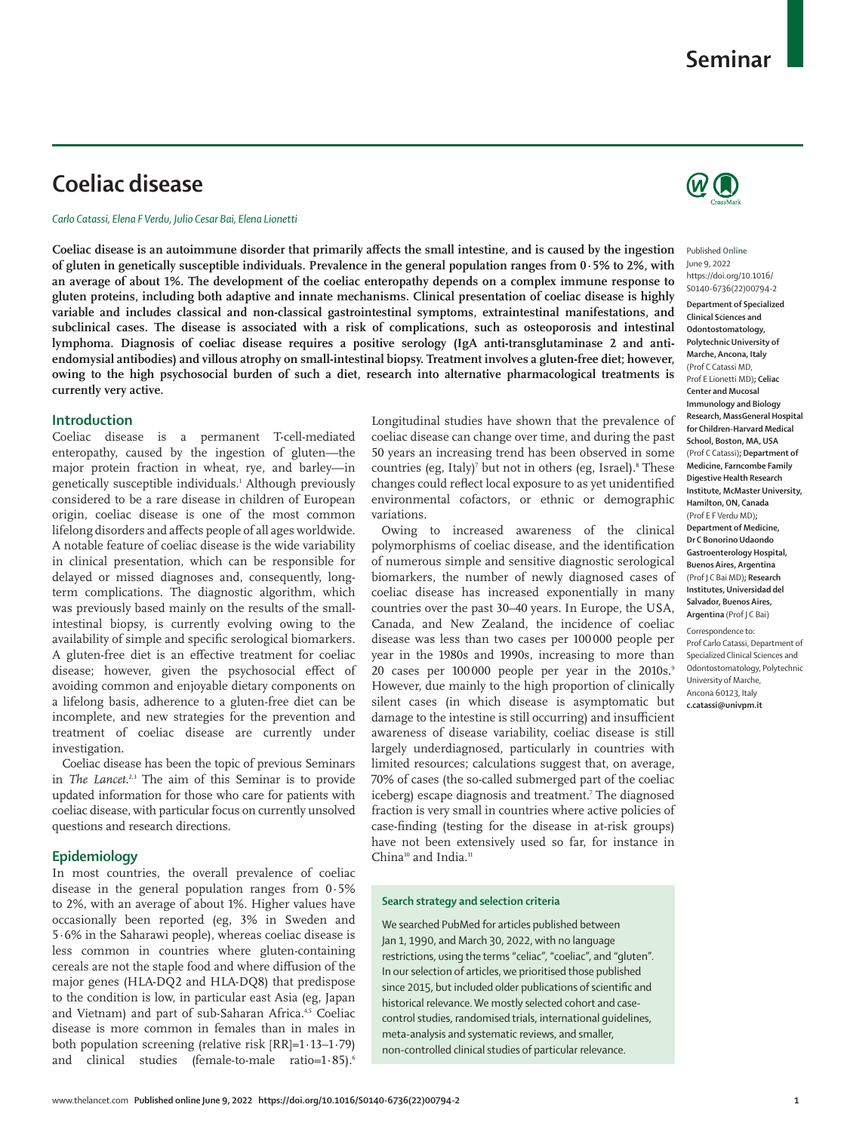# **Coeliac disease**

*Carlo Catassi, Elena F Verdu, Julio Cesar Bai, Elena Lionetti*

**Coeliac disease is an autoimmune disorder that primarily affects the small intestine, and is caused by the ingestion of gluten in genetically susceptible individuals. Prevalence in the general population ranges from 0·5% to 2%, with an average of about 1%. The development of the coeliac enteropathy depends on a complex immune response to gluten proteins, including both adaptive and innate mechanisms. Clinical presentation of coeliac disease is highly variable and includes classical and non-classical gastrointestinal symptoms, extraintestinal manifestations, and subclinical cases. The disease is associated with a risk of complications, such as osteoporosis and intestinal lymphoma. Diagnosis of coeliac disease requires a positive serology (IgA anti-transglutaminase 2 and antiendomysial antibodies) and villous atrophy on small-intestinal biopsy. Treatment involves a gluten-free diet; however, owing to the high psychosocial burden of such a diet, research into alternative pharmacological treatments is currently very active.**

## **Introduction**

Coeliac disease is a permanent T-cell-mediated enteropathy, caused by the ingestion of gluten—the major protein fraction in wheat, rye, and barley—in genetically susceptible individuals.1 Although previously considered to be a rare disease in children of European origin, coeliac disease is one of the most common lifelong disorders and affects people of all ages worldwide. A notable feature of coeliac disease is the wide variability in clinical presentation, which can be responsible for delayed or missed diagnoses and, consequently, longterm complications. The diagnostic algorithm, which was previously based mainly on the results of the smallintestinal biopsy, is currently evolving owing to the availability of simple and specific serological biomarkers. A gluten-free diet is an effective treatment for coeliac disease; however, given the psychosocial effect of avoiding common and enjoyable dietary components on a lifelong basis, adherence to a gluten-free diet can be incomplete, and new strategies for the prevention and treatment of coeliac disease are currently under investigation.

Coeliac disease has been the topic of previous Seminars in *The Lancet*. 2,3 The aim of this Seminar is to provide updated information for those who care for patients with coeliac disease, with particular focus on currently unsolved questions and research directions.

## **Epidemiology**

In most countries, the overall prevalence of coeliac disease in the general population ranges from 0·5% to 2%, with an average of about 1%. Higher values have occasionally been reported (eg, 3% in Sweden and 5·6% in the Saharawi people), whereas coeliac disease is less common in countries where gluten-containing cereals are not the staple food and where diffusion of the major genes (HLA-DQ2 and HLA-DQ8) that predispose to the condition is low, in particular east Asia (eg, Japan and Vietnam) and part of sub-Saharan Africa.<sup>4,5</sup> Coeliac disease is more common in females than in males in both population screening (relative risk [RR]=1·13–1·79) and clinical studies (female-to-male ratio=1.85).<sup>6</sup> Longitudinal studies have shown that the prevalence of coeliac disease can change over time, and during the past 50 years an increasing trend has been observed in some countries (eg, Italy)<sup>7</sup> but not in others (eg, Israel).<sup>8</sup> These changes could reflect local exposure to as yet unidentified environmental cofactors, or ethnic or demographic variations.

Owing to increased awareness of the clinical polymorphisms of coeliac disease, and the identification of numerous simple and sensitive diagnostic serological biomarkers, the number of newly diagnosed cases of coeliac disease has increased exponentially in many countries over the past 30–40 years. In Europe, the USA, Canada, and New Zealand, the incidence of coeliac disease was less than two cases per 100 000 people per year in the 1980s and 1990s, increasing to more than 20 cases per 100000 people per year in the 2010s.<sup>9</sup> However, due mainly to the high proportion of clinically silent cases (in which disease is asymptomatic but damage to the intestine is still occurring) and insufficient awareness of disease variability, coeliac disease is still largely underdiagnosed, particularly in countries with limited resources; calculations suggest that, on average, 70% of cases (the so-called submerged part of the coeliac iceberg) escape diagnosis and treatment.7 The diagnosed fraction is very small in countries where active policies of case-finding (testing for the disease in at-risk groups) have not been extensively used so far, for instance in China<sup>10</sup> and India.<sup>11</sup>

## **Search strategy and selection criteria**

We searched PubMed for articles published between Jan 1, 1990, and March 30, 2022, with no language restrictions, using the terms "celiac", "coeliac", and "gluten". In our selection of articles, we prioritised those published since 2015, but included older publications of scientific and historical relevance. We mostly selected cohort and casecontrol studies, randomised trials, international guidelines, meta-analysis and systematic reviews, and smaller, non-controlled clinical studies of particular relevance.



Published **Online** June 9, 2022 https://doi.org/10.1016/ S0140-6736(22)00794-2

**Department of Specialized Clinical Sciences and Odontostomatology, Polytechnic University of Marche, Ancona, Italy** (Prof C Catassi MD, Prof E Lionetti MD)**; Celiac Center and Mucosal Immunology and Biology Research, MassGeneral Hospital for Children-Harvard Medical School, Boston, MA, USA** (Prof C Catassi)**; Department of Medicine, Farncombe Family Digestive Health Research Institute, McMaster University, Hamilton, ON, Canada** (Prof E F Verdu MD)**; Department of Medicine, Dr C Bonorino Udaondo Gastroenterology Hospital, Buenos Aires, Argentina** (Prof J C Bai MD)**; Research Institutes, Universidad del Salvador, Buenos Aires, Argentina** (Prof J C Bai)

Correspondence to: Prof Carlo Catassi, Department of Specialized Clinical Sciences and Odontostomatology, Polytechnic University of Marche, Ancona 60123, Italy **c.catassi@univpm.it**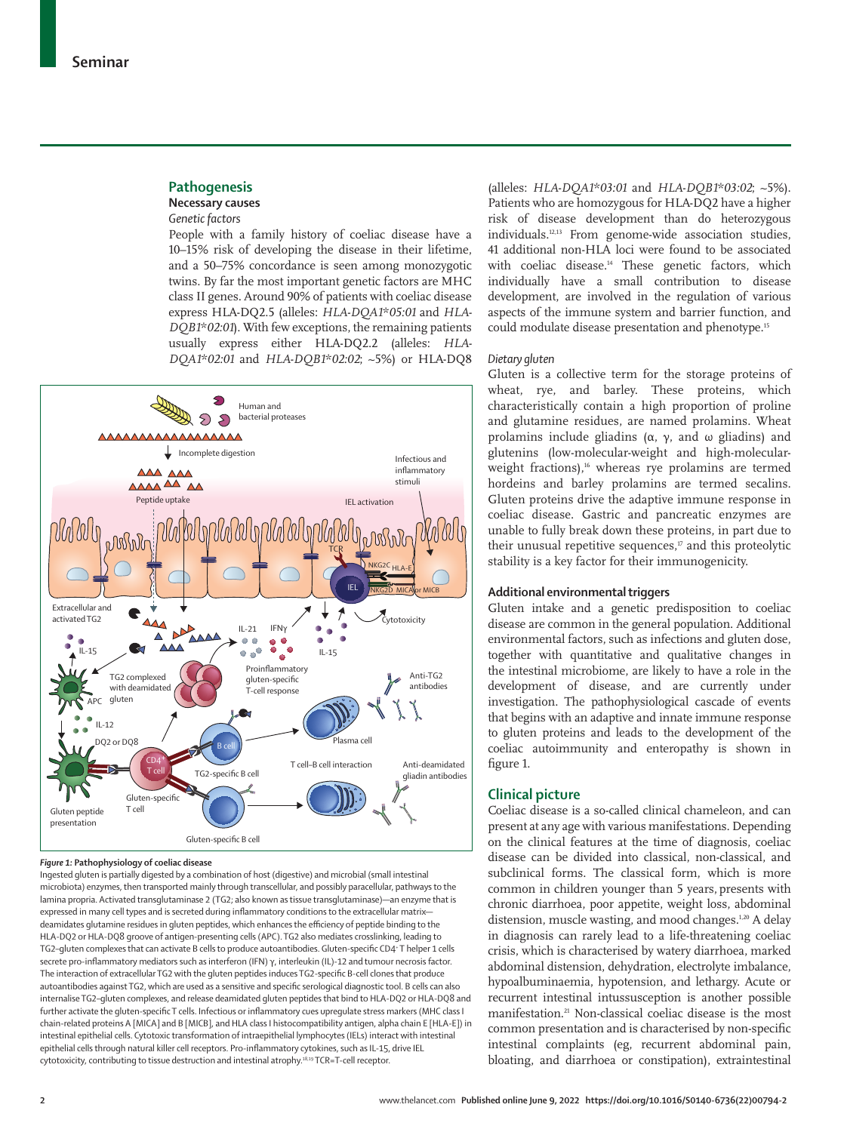## **Pathogenesis Necessary causes**

## *Genetic factors*

People with a family history of coeliac disease have a 10–15% risk of developing the disease in their lifetime, and a 50–75% concordance is seen among monozygotic twins. By far the most important genetic factors are MHC class II genes. Around 90% of patients with coeliac disease express HLA-DQ2.5 (alleles: *HLA-DQA1\*05:01* and *HLA-DQB1\*02:01*). With few exceptions, the remaining patients usually express either HLA-DQ2.2 (alleles: *HLA-DQA1\*02:01* and *HLA-DQB1\*02:02*; ~5%) or HLA-DQ8



#### *Figure 1:* **Pathophysiology of coeliac disease**

Ingested gluten is partially digested by a combination of host (digestive) and microbial (small intestinal microbiota) enzymes, then transported mainly through transcellular, and possibly paracellular, pathways to the lamina propria. Activated transglutaminase 2 (TG2; also known as tissue transglutaminase)—an enzyme that is expressed in many cell types and is secreted during inflammatory conditions to the extracellular matrix deamidates glutamine residues in gluten peptides, which enhances the efficiency of peptide binding to the HLA-DQ2 or HLA-DQ8 groove of antigen-presenting cells (APC). TG2 also mediates crosslinking, leading to TG2-gluten complexes that can activate B cells to produce autoantibodies. Gluten-specific CD4<sup>+</sup>T helper 1 cells secrete pro-inflammatory mediators such as interferon (IFN) γ, interleukin (IL)-12 and tumour necrosis factor. The interaction of extracellular TG2 with the gluten peptides induces TG2-specific B-cell clones that produce autoantibodies against TG2, which are used as a sensitive and specific serological diagnostic tool. B cells can also internalise TG2–gluten complexes, and release deamidated gluten peptides that bind to HLA-DQ2 or HLA-DQ8 and further activate the gluten-specific T cells. Infectious or inflammatory cues upregulate stress markers (MHC class I chain-related proteins A [MICA] and B [MICB], and HLA class I histocompatibility antigen, alpha chain E [HLA-E]) in intestinal epithelial cells. Cytotoxic transformation of intraepithelial lymphocytes (IELs) interact with intestinal epithelial cells through natural killer cell receptors. Pro-inflammatory cytokines, such as IL-15, drive IEL cytotoxicity, contributing to tissue destruction and intestinal atrophy.<sup>18,19</sup> TCR=T-cell receptor.

(alleles: *HLA-DQA1\*03:01* and *HLA-DQB1\*03:02*; ~5%). Patients who are homozygous for HLA-DQ2 have a higher risk of disease development than do heterozygous individuals.12,13 From genome-wide association studies, 41 additional non-HLA loci were found to be associated with coeliac disease.<sup>14</sup> These genetic factors, which individually have a small contribution to disease development, are involved in the regulation of various aspects of the immune system and barrier function, and could modulate disease presentation and phenotype.15

#### *Dietary gluten*

Gluten is a collective term for the storage proteins of wheat, rye, and barley. These proteins, which characteristically contain a high proportion of proline and glutamine residues, are named prolamins. Wheat prolamins include gliadins (α, γ, and ω gliadins) and glutenins (low-molecular-weight and high-molecularweight fractions),<sup>16</sup> whereas rye prolamins are termed hordeins and barley prolamins are termed secalins. Gluten proteins drive the adaptive immune response in coeliac disease. Gastric and pancreatic enzymes are unable to fully break down these proteins, in part due to their unusual repetitive sequences, $\sigma$  and this proteolytic stability is a key factor for their immunogenicity.

## **Additional environmental triggers**

Gluten intake and a genetic predisposition to coeliac disease are common in the general population. Additional environmental factors, such as infections and gluten dose, together with quantitative and qualitative changes in the intestinal microbiome, are likely to have a role in the development of disease, and are currently under investigation. The pathophysiological cascade of events that begins with an adaptive and innate immune response to gluten proteins and leads to the development of the coeliac autoimmunity and enteropathy is shown in figure 1.

## **Clinical picture**

Coeliac disease is a so-called clinical chameleon, and can present at any age with various manifestations. Depending on the clinical features at the time of diagnosis, coeliac disease can be divided into classical, non-classical, and subclinical forms. The classical form, which is more common in children younger than 5 years, presents with chronic diarrhoea, poor appetite, weight loss, abdominal distension, muscle wasting, and mood changes.<sup>1,20</sup> A delay in diagnosis can rarely lead to a life-threatening coeliac crisis, which is characterised by watery diarrhoea, marked abdominal distension, dehydration, electrolyte imbalance, hypoalbuminaemia, hypotension, and lethargy. Acute or recurrent intestinal intussusception is another possible manifestation.<sup>21</sup> Non-classical coeliac disease is the most common presentation and is characterised by non-specific intestinal complaints (eg, recurrent abdominal pain, bloating, and diarrhoea or constipation), extraintestinal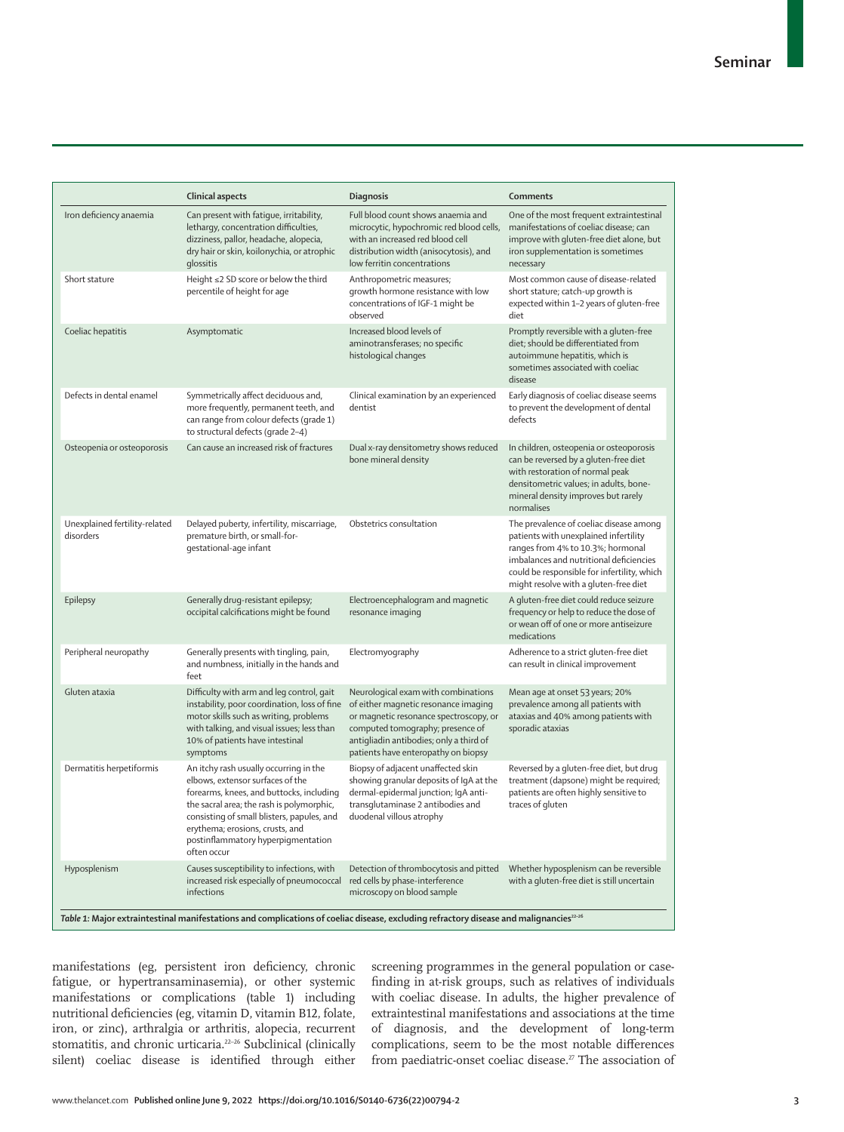|                                            | Clinical aspects                                                                                                                                                                                                                                                                                          | <b>Diagnosis</b>                                                                                                                                                                                                                            | Comments                                                                                                                                                                                                                                                 |
|--------------------------------------------|-----------------------------------------------------------------------------------------------------------------------------------------------------------------------------------------------------------------------------------------------------------------------------------------------------------|---------------------------------------------------------------------------------------------------------------------------------------------------------------------------------------------------------------------------------------------|----------------------------------------------------------------------------------------------------------------------------------------------------------------------------------------------------------------------------------------------------------|
| Iron deficiency anaemia                    | Can present with fatique, irritability,<br>lethargy, concentration difficulties,<br>dizziness, pallor, headache, alopecia,<br>dry hair or skin, koilonychia, or atrophic<br>qlossitis                                                                                                                     | Full blood count shows anaemia and<br>microcytic, hypochromic red blood cells,<br>with an increased red blood cell<br>distribution width (anisocytosis), and<br>low ferritin concentrations                                                 | One of the most frequent extraintestinal<br>manifestations of coeliac disease; can<br>improve with gluten-free diet alone, but<br>iron supplementation is sometimes<br>necessary                                                                         |
| Short stature                              | Height $\leq$ 2 SD score or below the third<br>percentile of height for age                                                                                                                                                                                                                               | Anthropometric measures;<br>growth hormone resistance with low<br>concentrations of IGF-1 might be<br>observed                                                                                                                              | Most common cause of disease-related<br>short stature; catch-up growth is<br>expected within 1-2 years of gluten-free<br>diet                                                                                                                            |
| Coeliac hepatitis                          | Asymptomatic                                                                                                                                                                                                                                                                                              | Increased blood levels of<br>aminotransferases; no specific<br>histological changes                                                                                                                                                         | Promptly reversible with a gluten-free<br>diet; should be differentiated from<br>autoimmune hepatitis, which is<br>sometimes associated with coeliac<br>disease                                                                                          |
| Defects in dental enamel                   | Symmetrically affect deciduous and,<br>more frequently, permanent teeth, and<br>can range from colour defects (grade 1)<br>to structural defects (grade 2-4)                                                                                                                                              | Clinical examination by an experienced<br>dentist                                                                                                                                                                                           | Early diagnosis of coeliac disease seems<br>to prevent the development of dental<br>defects                                                                                                                                                              |
| Osteopenia or osteoporosis                 | Can cause an increased risk of fractures                                                                                                                                                                                                                                                                  | Dual x-ray densitometry shows reduced<br>bone mineral density                                                                                                                                                                               | In children, osteopenia or osteoporosis<br>can be reversed by a gluten-free diet<br>with restoration of normal peak<br>densitometric values; in adults, bone-<br>mineral density improves but rarely<br>normalises                                       |
| Unexplained fertility-related<br>disorders | Delayed puberty, infertility, miscarriage,<br>premature birth, or small-for-<br>gestational-age infant                                                                                                                                                                                                    | Obstetrics consultation                                                                                                                                                                                                                     | The prevalence of coeliac disease among<br>patients with unexplained infertility<br>ranges from 4% to 10.3%; hormonal<br>imbalances and nutritional deficiencies<br>could be responsible for infertility, which<br>might resolve with a gluten-free diet |
| Epilepsy                                   | Generally drug-resistant epilepsy;<br>occipital calcifications might be found                                                                                                                                                                                                                             | Electroencephalogram and magnetic<br>resonance imaging                                                                                                                                                                                      | A gluten-free diet could reduce seizure<br>frequency or help to reduce the dose of<br>or wean off of one or more antiseizure<br>medications                                                                                                              |
| Peripheral neuropathy                      | Generally presents with tingling, pain,<br>and numbness, initially in the hands and<br>feet                                                                                                                                                                                                               | Electromyography                                                                                                                                                                                                                            | Adherence to a strict gluten-free diet<br>can result in clinical improvement                                                                                                                                                                             |
| Gluten ataxia                              | Difficulty with arm and leg control, gait<br>instability, poor coordination, loss of fine<br>motor skills such as writing, problems<br>with talking, and visual issues; less than<br>10% of patients have intestinal<br>symptoms                                                                          | Neurological exam with combinations<br>of either magnetic resonance imaging<br>or magnetic resonance spectroscopy, or<br>computed tomography; presence of<br>antigliadin antibodies; only a third of<br>patients have enteropathy on biopsy | Mean age at onset 53 years; 20%<br>prevalence among all patients with<br>ataxias and 40% among patients with<br>sporadic ataxias                                                                                                                         |
| Dermatitis herpetiformis                   | An itchy rash usually occurring in the<br>elbows, extensor surfaces of the<br>forearms, knees, and buttocks, including<br>the sacral area; the rash is polymorphic,<br>consisting of small blisters, papules, and<br>erythema; erosions, crusts, and<br>postinflammatory hyperpigmentation<br>often occur | Biopsy of adjacent unaffected skin<br>showing granular deposits of IgA at the<br>dermal-epidermal junction; IgA anti-<br>transglutaminase 2 antibodies and<br>duodenal villous atrophy                                                      | Reversed by a gluten-free diet, but drug<br>treatment (dapsone) might be required;<br>patients are often highly sensitive to<br>traces of gluten                                                                                                         |
| Hyposplenism                               | Causes susceptibility to infections, with<br>increased risk especially of pneumococcal<br>infections                                                                                                                                                                                                      | Detection of thrombocytosis and pitted<br>red cells by phase-interference<br>microscopy on blood sample                                                                                                                                     | Whether hyposplenism can be reversible<br>with a gluten-free diet is still uncertain                                                                                                                                                                     |

manifestations (eg, persistent iron deficiency, chronic fatigue, or hypertransaminasemia), or other systemic manifestations or complications (table 1) including nutritional deficiencies (eg, vitamin D, vitamin B12, folate, iron, or zinc), arthralgia or arthritis, alopecia, recurrent stomatitis, and chronic urticaria.<sup>22-26</sup> Subclinical (clinically silent) coeliac disease is identified through either

screening programmes in the general population or casefinding in at-risk groups, such as relatives of individuals with coeliac disease. In adults, the higher prevalence of extraintestinal manifestations and associations at the time of diagnosis, and the development of long-term complications, seem to be the most notable differences from paediatric-onset coeliac disease.<sup>27</sup> The association of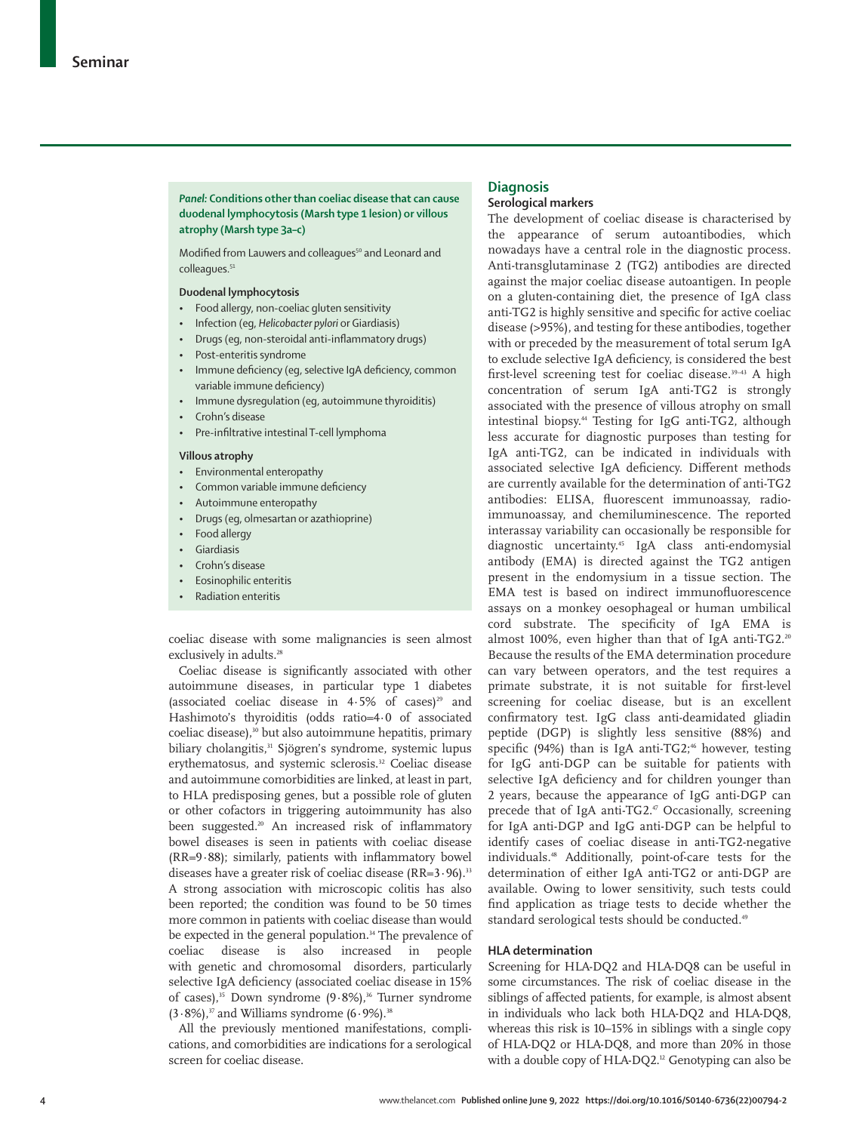## *Panel:* **Conditions other than coeliac disease that can cause duodenal lymphocytosis (Marsh type 1 lesion) or villous atrophy (Marsh type 3a–c)**

Modified from Lauwers and colleagues<sup>50</sup> and Leonard and colleagues.<sup>51</sup>

## **Duodenal lymphocytosis**

- Food allergy, non-coeliac gluten sensitivity
- Infection (eg, *Helicobacter pylori* or Giardiasis)
- Drugs (eg, non-steroidal anti-inflammatory drugs)
- Post-enteritis syndrome
- Immune deficiency (eg, selective IgA deficiency, common variable immune deficiency)
- Immune dysregulation (eg, autoimmune thyroiditis)
- Crohn's disease
- Pre-infiltrative intestinal T-cell lymphoma

#### **Villous atrophy**

- Environmental enteropathy
- Common variable immune deficiency
- Autoimmune enteropathy
- Drugs (eg, olmesartan or azathioprine)
- Food allergy
- Giardiasis
- Crohn's disease
- Eosinophilic enteritis
- Radiation enteritis

coeliac disease with some malignancies is seen almost exclusively in adults.<sup>28</sup>

Coeliac disease is significantly associated with other autoimmune diseases, in particular type 1 diabetes (associated coeliac disease in  $4.5\%$  of cases)<sup>29</sup> and Hashimoto's thyroiditis (odds ratio=4·0 of associated coeliac disease),<sup>30</sup> but also autoimmune hepatitis, primary biliary cholangitis,<sup>31</sup> Sjögren's syndrome, systemic lupus erythematosus, and systemic sclerosis.<sup>32</sup> Coeliac disease and autoimmune comorbidities are linked, at least in part, to HLA predisposing genes, but a possible role of gluten or other cofactors in triggering autoimmunity has also been suggested.<sup>20</sup> An increased risk of inflammatory bowel diseases is seen in patients with coeliac disease (RR=9·88); similarly, patients with inflammatory bowel diseases have a greater risk of coeliac disease (RR=3·96).<sup>33</sup> A strong association with microscopic colitis has also been reported; the condition was found to be 50 times more common in patients with coeliac disease than would be expected in the general population.<sup>34</sup> The prevalence of coeliac disease is also increased in people with genetic and chromosomal disorders, particularly selective IgA deficiency (associated coeliac disease in 15% of cases),<sup>35</sup> Down syndrome  $(9.8\%)$ ,<sup>36</sup> Turner syndrome  $(3.8\%)$ ,<sup>37</sup> and Williams syndrome  $(6.9\%)$ .<sup>38</sup>

All the previously mentioned manifestations, complications, and comorbidities are indications for a serological screen for coeliac disease.

## **Diagnosis**

## **Serological markers**

The development of coeliac disease is characterised by the appearance of serum autoantibodies, which nowadays have a central role in the diagnostic process. Anti-transglutaminase 2 (TG2) antibodies are directed against the major coeliac disease autoantigen. In people on a gluten-containing diet, the presence of IgA class anti-TG2 is highly sensitive and specific for active coeliac disease (>95%), and testing for these antibodies, together with or preceded by the measurement of total serum IgA to exclude selective IgA deficiency, is considered the best first-level screening test for coeliac disease.<sup>39-43</sup> A high concentration of serum IgA anti-TG2 is strongly associated with the presence of villous atrophy on small intestinal biopsy.44 Testing for IgG anti-TG2, although less accurate for diagnostic purposes than testing for IgA anti-TG2, can be indicated in individuals with associated selective IgA deficiency. Different methods are currently available for the determination of anti-TG2 antibodies: ELISA, fluorescent immunoassay, radioimmunoassay, and chemiluminescence. The reported interassay variability can occasionally be responsible for diagnostic uncertainty.45 IgA class anti-endomysial antibody (EMA) is directed against the TG2 antigen present in the endomysium in a tissue section. The EMA test is based on indirect immunofluorescence assays on a monkey oesophageal or human umbilical cord substrate. The specificity of IgA EMA is almost 100%, even higher than that of IgA anti-TG2.20 Because the results of the EMA determination procedure can vary between operators, and the test requires a primate substrate, it is not suitable for first-level screening for coeliac disease, but is an excellent confirmatory test. IgG class anti-deamidated gliadin peptide (DGP) is slightly less sensitive (88%) and specific (94%) than is IgA anti-TG2;<sup>46</sup> however, testing for IgG anti-DGP can be suitable for patients with selective IgA deficiency and for children younger than 2 years, because the appearance of IgG anti-DGP can precede that of IgA anti-TG2.<sup>47</sup> Occasionally, screening for IgA anti-DGP and IgG anti-DGP can be helpful to identify cases of coeliac disease in anti-TG2-negative individuals.48 Additionally, point-of-care tests for the determination of either IgA anti-TG2 or anti-DGP are available. Owing to lower sensitivity, such tests could find application as triage tests to decide whether the standard serological tests should be conducted.<sup>49</sup>

#### **HLA determination**

Screening for HLA-DQ2 and HLA-DQ8 can be useful in some circumstances. The risk of coeliac disease in the siblings of affected patients, for example, is almost absent in individuals who lack both HLA-DQ2 and HLA-DQ8, whereas this risk is 10–15% in siblings with a single copy of HLA-DQ2 or HLA-DQ8, and more than 20% in those with a double copy of HLA-DQ2.<sup>12</sup> Genotyping can also be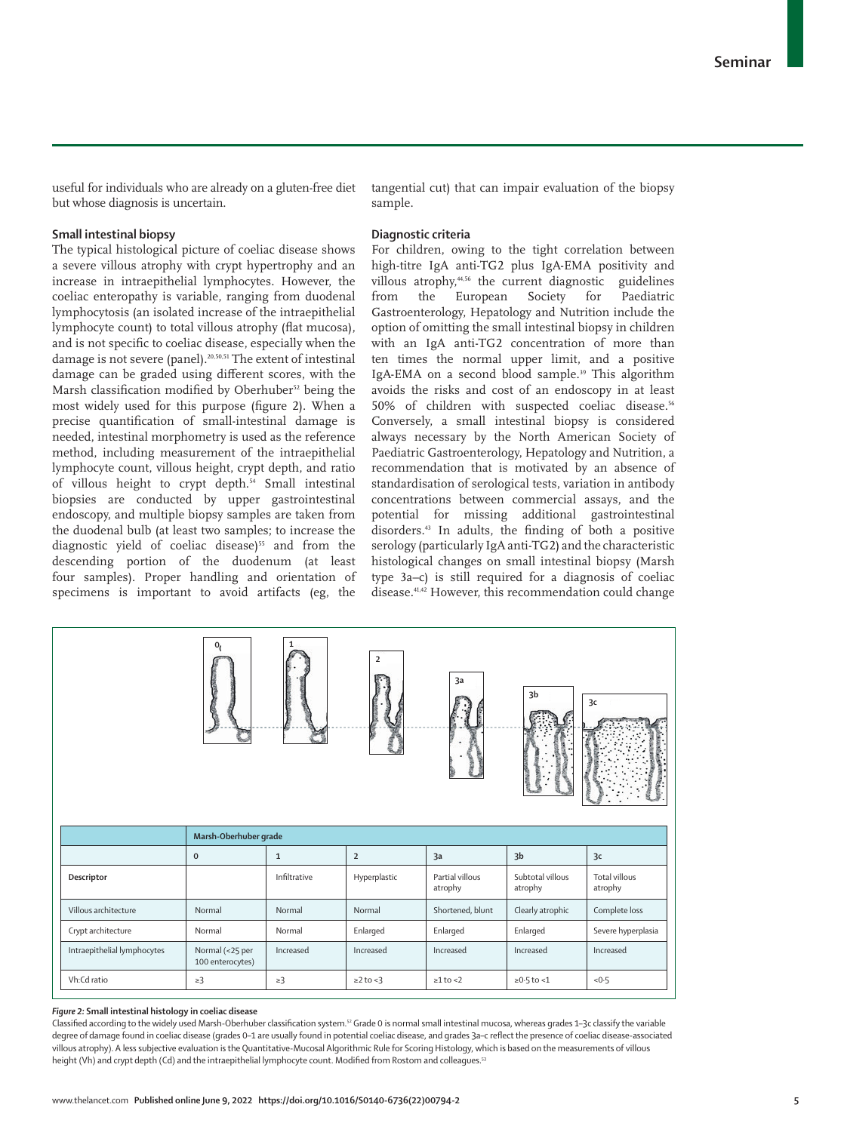useful for individuals who are already on a gluten-free diet but whose diagnosis is uncertain.

## **Small intestinal biopsy**

The typical histological picture of coeliac disease shows a severe villous atrophy with crypt hypertrophy and an increase in intraepithelial lymphocytes. However, the coeliac enteropathy is variable, ranging from duodenal lymphocytosis (an isolated increase of the intraepithelial lymphocyte count) to total villous atrophy (flat mucosa), and is not specific to coeliac disease, especially when the damage is not severe (panel).20,50,51 The extent of intestinal damage can be graded using different scores, with the Marsh classification modified by Oberhuber<sup>52</sup> being the most widely used for this purpose (figure 2). When a precise quantification of small-intestinal damage is needed, intestinal morphometry is used as the reference method, including measurement of the intraepithelial lymphocyte count, villous height, crypt depth, and ratio of villous height to crypt depth.<sup>54</sup> Small intestinal biopsies are conducted by upper gastrointestinal endoscopy, and multiple biopsy samples are taken from the duodenal bulb (at least two samples; to increase the diagnostic yield of coeliac disease)<sup>55</sup> and from the descending portion of the duodenum (at least four samples). Proper handling and orientation of specimens is important to avoid artifacts (eg, the tangential cut) that can impair evaluation of the biopsy sample.

## **Diagnostic criteria**

For children, owing to the tight correlation between high-titre IgA anti-TG2 plus IgA-EMA positivity and villous atrophy,<sup>4,56</sup> the current diagnostic guidelines<br>from the European Society for Paediatric European Gastroenterology, Hepatology and Nutrition include the option of omitting the small intestinal biopsy in children with an IgA anti-TG2 concentration of more than ten times the normal upper limit, and a positive IgA-EMA on a second blood sample.<sup>39</sup> This algorithm avoids the risks and cost of an endoscopy in at least 50% of children with suspected coeliac disease.<sup>56</sup> Conversely, a small intestinal biopsy is considered always necessary by the North American Society of Paediatric Gastroenterology, Hepatology and Nutrition, a recommendation that is motivated by an absence of standardisation of serological tests, variation in antibody concentrations between commercial assays, and the potential for missing additional gastrointestinal disorders.43 In adults, the finding of both a positive serology (particularly IgA anti-TG2) and the characteristic histological changes on small intestinal biopsy (Marsh type 3a–c) is still required for a diagnosis of coeliac disease.41,42 However, this recommendation could change



#### *Figure 2:* **Small intestinal histology in coeliac disease**

Classified according to the widely used Marsh-Oberhuber classification system.<sup>52</sup> Grade 0 is normal small intestinal mucosa, whereas grades 1–3c classify the variable degree of damage found in coeliac disease (grades 0–1 are usually found in potential coeliac disease, and grades 3a–c reflect the presence of coeliac disease-associated villous atrophy). A less subjective evaluation is the Quantitative-Mucosal Algorithmic Rule for Scoring Histology, which is based on the measurements of villous height (Vh) and crypt depth (Cd) and the intraepithelial lymphocyte count. Modified from Rostom and colleagues.<sup>53</sup>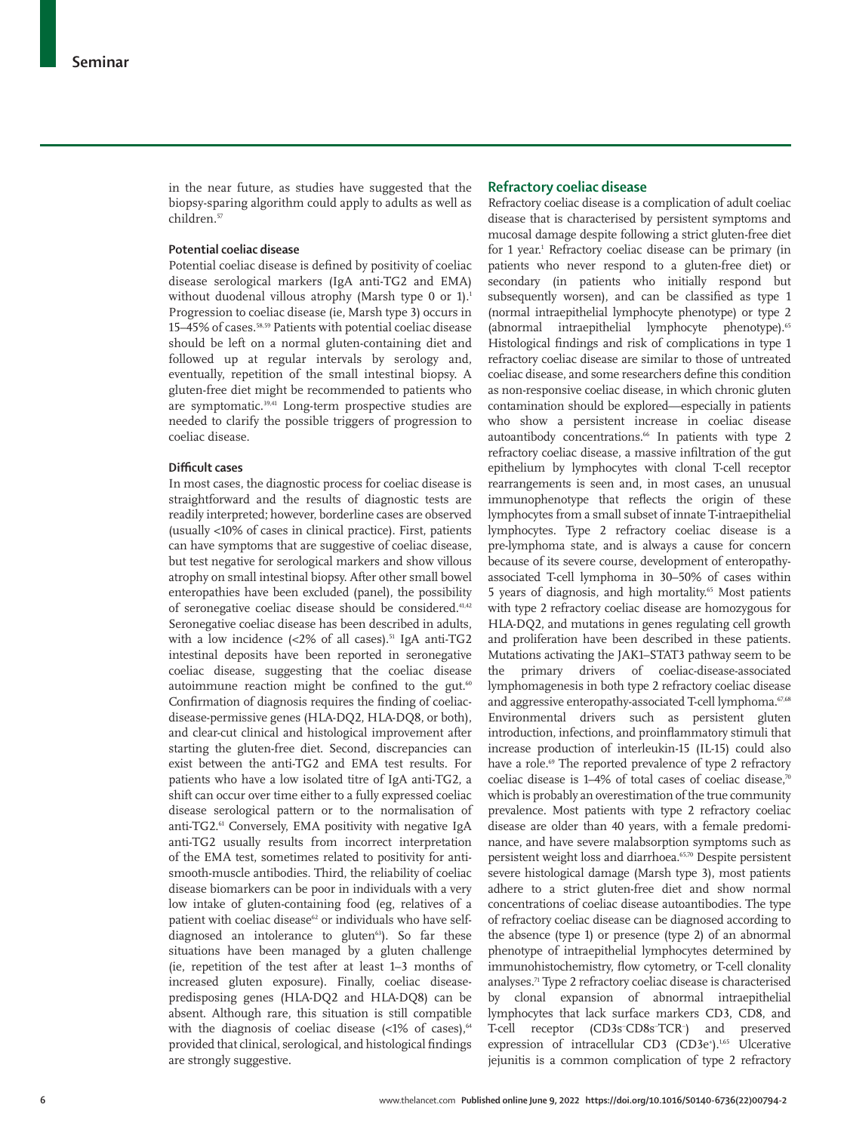in the near future, as studies have suggested that the biopsy-sparing algorithm could apply to adults as well as children.57

## **Potential coeliac disease**

Potential coeliac disease is defined by positivity of coeliac disease serological markers (IgA anti-TG2 and EMA) without duodenal villous atrophy (Marsh type 0 or 1).<sup>1</sup> Progression to coeliac disease (ie, Marsh type 3) occurs in 15–45% of cases.58,59 Patients with potential coeliac disease should be left on a normal gluten-containing diet and followed up at regular intervals by serology and, eventually, repetition of the small intestinal biopsy. A gluten-free diet might be recommended to patients who are symptomatic.<sup>39,41</sup> Long-term prospective studies are needed to clarify the possible triggers of progression to coeliac disease.

## **Difficult cases**

In most cases, the diagnostic process for coeliac disease is straightforward and the results of diagnostic tests are readily interpreted; however, borderline cases are observed (usually <10% of cases in clinical practice). First, patients can have symptoms that are suggestive of coeliac disease, but test negative for serological markers and show villous atrophy on small intestinal biopsy. After other small bowel enteropathies have been excluded (panel), the possibility of seronegative coeliac disease should be considered.41,42 Seronegative coeliac disease has been described in adults, with a low incidence  $\left( < 2\% \right)$  of all cases).<sup>51</sup> IgA anti-TG2 intestinal deposits have been reported in seronegative coeliac disease, suggesting that the coeliac disease autoimmune reaction might be confined to the gut.<sup>60</sup> Confirmation of diagnosis requires the finding of coeliacdisease-permissive genes (HLA-DQ2, HLA-DQ8, or both), and clear-cut clinical and histological improvement after starting the gluten-free diet. Second, discrepancies can exist between the anti-TG2 and EMA test results. For patients who have a low isolated titre of IgA anti-TG2, a shift can occur over time either to a fully expressed coeliac disease serological pattern or to the normalisation of anti-TG2.61 Conversely, EMA positivity with negative IgA anti-TG2 usually results from incorrect interpretation of the EMA test, sometimes related to positivity for antismooth-muscle antibodies. Third, the reliability of coeliac disease biomarkers can be poor in individuals with a very low intake of gluten-containing food (eg, relatives of a patient with coeliac disease<sup>62</sup> or individuals who have selfdiagnosed an intolerance to gluten<sup>63</sup>). So far these situations have been managed by a gluten challenge (ie, repetition of the test after at least 1–3 months of increased gluten exposure). Finally, coeliac diseasepredisposing genes (HLA-DQ2 and HLA-DQ8) can be absent. Although rare, this situation is still compatible with the diagnosis of coeliac disease  $\left($  <1% of cases),<sup>64</sup> provided that clinical, serological, and histological findings are strongly suggestive.

## **Refractory coeliac disease**

Refractory coeliac disease is a complication of adult coeliac disease that is characterised by persistent symptoms and mucosal damage despite following a strict gluten-free diet for 1 year.<sup>1</sup> Refractory coeliac disease can be primary (in patients who never respond to a gluten-free diet) or secondary (in patients who initially respond but subsequently worsen), and can be classified as type 1 (normal intraepithelial lymphocyte phenotype) or type 2 (abnormal intraepithelial lymphocyte phenotype).65 Histological findings and risk of complications in type 1 refractory coeliac disease are similar to those of untreated coeliac disease, and some researchers define this condition as non-responsive coeliac disease, in which chronic gluten contamination should be explored—especially in patients who show a persistent increase in coeliac disease autoantibody concentrations.<sup>66</sup> In patients with type 2 refractory coeliac disease, a massive infiltration of the gut epithelium by lymphocytes with clonal T-cell receptor rearrangements is seen and, in most cases, an unusual immunophenotype that reflects the origin of these lymphocytes from a small subset of innate T-intraepithelial lymphocytes. Type 2 refractory coeliac disease is a pre-lymphoma state, and is always a cause for concern because of its severe course, development of enteropathyassociated T-cell lymphoma in 30–50% of cases within 5 years of diagnosis, and high mortality.<sup>65</sup> Most patients with type 2 refractory coeliac disease are homozygous for HLA-DQ2, and mutations in genes regulating cell growth and proliferation have been described in these patients. Mutations activating the JAK1–STAT3 pathway seem to be the primary drivers of coeliac-disease-associated lymphomagenesis in both type 2 refractory coeliac disease and aggressive enteropathy-associated T-cell lymphoma.<sup>67,68</sup> Environmental drivers such as persistent gluten introduction, infections, and proinflammatory stimuli that increase production of interleukin-15 (IL-15) could also have a role.<sup>69</sup> The reported prevalence of type 2 refractory coeliac disease is 1–4% of total cases of coeliac disease,<sup>70</sup> which is probably an overestimation of the true community prevalence. Most patients with type 2 refractory coeliac disease are older than 40 years, with a female predominance, and have severe malabsorption symptoms such as persistent weight loss and diarrhoea.65,70 Despite persistent severe histological damage (Marsh type 3), most patients adhere to a strict gluten-free diet and show normal concentrations of coeliac disease autoantibodies. The type of refractory coeliac disease can be diagnosed according to the absence (type 1) or presence (type 2) of an abnormal phenotype of intraepithelial lymphocytes determined by immunohistochemistry, flow cytometry, or T-cell clonality analyses.<sup>71</sup> Type 2 refractory coeliac disease is characterised by clonal expansion of abnormal intraepithelial lymphocytes that lack surface markers CD3, CD8, and T-cell receptor (CD3s− CD8s− TCR− ) and preserved expression of intracellular CD3 (CD3e<sup>+</sup>).<sup>1,65</sup> Ulcerative jejunitis is a common complication of type 2 refractory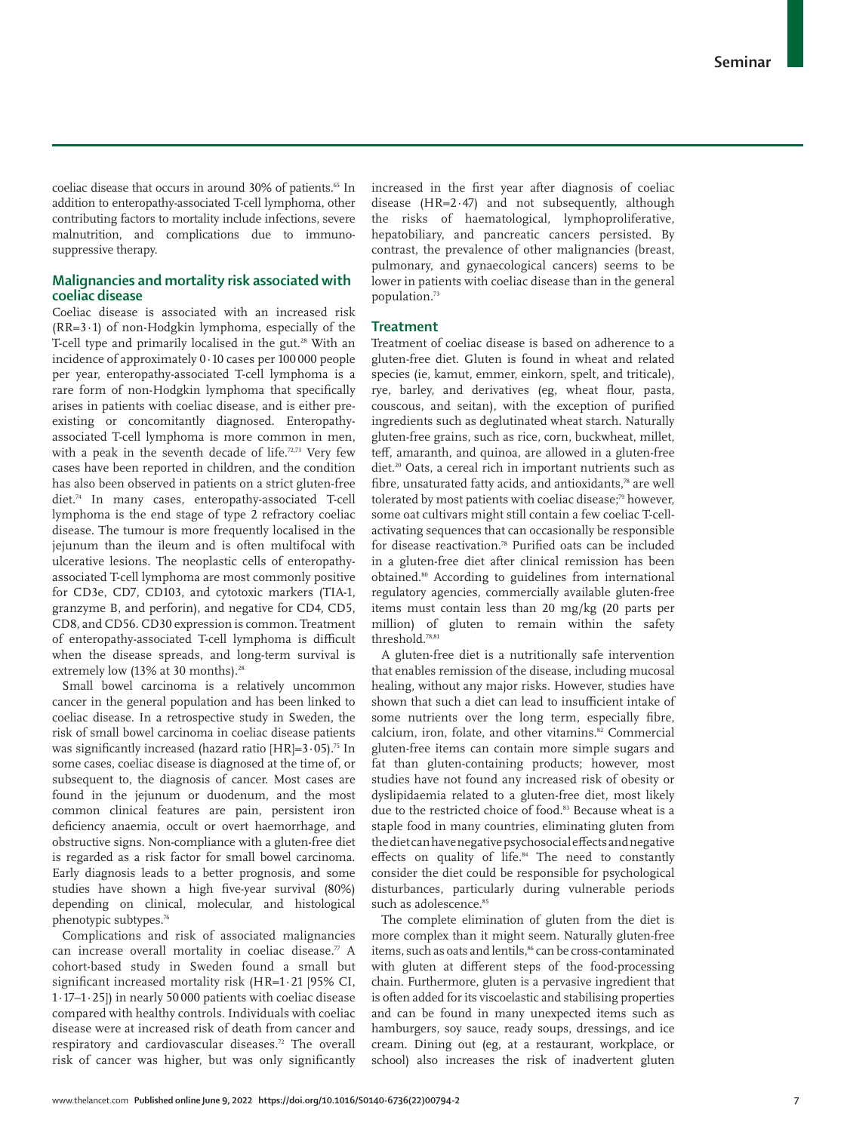coeliac disease that occurs in around 30% of patients.<sup>65</sup> In addition to enteropathy-associated T-cell lymphoma, other contributing factors to mortality include infections, severe malnutrition, and complications due to immunosuppressive therapy.

## **Malignancies and mortality risk associated with coeliac disease**

Coeliac disease is associated with an increased risk  $(RR=3.1)$  of non-Hodgkin lymphoma, especially of the T-cell type and primarily localised in the gut.<sup>28</sup> With an incidence of approximately 0·10 cases per 100 000 people per year, enteropathy-associated T-cell lymphoma is a rare form of non-Hodgkin lymphoma that specifically arises in patients with coeliac disease, and is either preexisting or concomitantly diagnosed. Enteropathyassociated T-cell lymphoma is more common in men, with a peak in the seventh decade of life.<sup>72,73</sup> Very few cases have been reported in children, and the condition has also been observed in patients on a strict gluten-free diet.74 In many cases, enteropathy-associated T-cell lymphoma is the end stage of type 2 refractory coeliac disease. The tumour is more frequently localised in the jejunum than the ileum and is often multifocal with ulcerative lesions. The neoplastic cells of enteropathyassociated T-cell lymphoma are most commonly positive for CD3e, CD7, CD103, and cytotoxic markers (TIA-1, granzyme B, and perforin), and negative for CD4, CD5, CD8, and CD56. CD30 expression is common. Treatment of enteropathy-associated T-cell lymphoma is difficult when the disease spreads, and long-term survival is extremely low (13% at 30 months).<sup>28</sup>

Small bowel carcinoma is a relatively uncommon cancer in the general population and has been linked to coeliac disease. In a retrospective study in Sweden, the risk of small bowel carcinoma in coeliac disease patients was significantly increased (hazard ratio  $[HR]=3.05$ ).<sup>75</sup> In some cases, coeliac disease is diagnosed at the time of, or subsequent to, the diagnosis of cancer. Most cases are found in the jejunum or duodenum, and the most common clinical features are pain, persistent iron deficiency anaemia, occult or overt haemorrhage, and obstructive signs. Non-compliance with a gluten-free diet is regarded as a risk factor for small bowel carcinoma. Early diagnosis leads to a better prognosis, and some studies have shown a high five-year survival (80%) depending on clinical, molecular, and histological phenotypic subtypes.76

Complications and risk of associated malignancies can increase overall mortality in coeliac disease. $\pi$  A cohort-based study in Sweden found a small but significant increased mortality risk (HR=1·21 [95% CI, 1·17–1·25]) in nearly 50 000 patients with coeliac disease compared with healthy controls. Individuals with coeliac disease were at increased risk of death from cancer and respiratory and cardiovascular diseases.72 The overall risk of cancer was higher, but was only significantly increased in the first year after diagnosis of coeliac disease (HR=2·47) and not subsequently, although the risks of haematological, lymphoproliferative, hepatobiliary, and pancreatic cancers persisted. By contrast, the prevalence of other malignancies (breast, pulmonary, and gynaecological cancers) seems to be lower in patients with coeliac disease than in the general population.73

## **Treatment**

Treatment of coeliac disease is based on adherence to a gluten-free diet. Gluten is found in wheat and related species (ie, kamut, emmer, einkorn, spelt, and triticale), rye, barley, and derivatives (eg, wheat flour, pasta, couscous, and seitan), with the exception of purified ingredients such as deglutinated wheat starch. Naturally gluten-free grains, such as rice, corn, buckwheat, millet, teff, amaranth, and quinoa, are allowed in a gluten-free diet.<sup>20</sup> Oats, a cereal rich in important nutrients such as fibre, unsaturated fatty acids, and antioxidants,<sup>78</sup> are well tolerated by most patients with coeliac disease;<sup>79</sup> however, some oat cultivars might still contain a few coeliac T-cellactivating sequences that can occasionally be responsible for disease reactivation.78 Purified oats can be included in a gluten-free diet after clinical remission has been obtained.80 According to guidelines from international regulatory agencies, commercially available gluten-free items must contain less than 20 mg/kg (20 parts per million) of gluten to remain within the safety threshold.78,81

A gluten-free diet is a nutritionally safe intervention that enables remission of the disease, including mucosal healing, without any major risks. However, studies have shown that such a diet can lead to insufficient intake of some nutrients over the long term, especially fibre, calcium, iron, folate, and other vitamins.82 Commercial gluten-free items can contain more simple sugars and fat than gluten-containing products; however, most studies have not found any increased risk of obesity or dyslipidaemia related to a gluten-free diet, most likely due to the restricted choice of food.<sup>83</sup> Because wheat is a staple food in many countries, eliminating gluten from the diet can have negative psychosocial effects and negative effects on quality of life.<sup>84</sup> The need to constantly consider the diet could be responsible for psychological disturbances, particularly during vulnerable periods such as adolescence.<sup>85</sup>

The complete elimination of gluten from the diet is more complex than it might seem. Naturally gluten-free items, such as oats and lentils,<sup>86</sup> can be cross-contaminated with gluten at different steps of the food-processing chain. Furthermore, gluten is a pervasive ingredient that is often added for its viscoelastic and stabilising properties and can be found in many unexpected items such as hamburgers, soy sauce, ready soups, dressings, and ice cream. Dining out (eg, at a restaurant, workplace, or school) also increases the risk of inadvertent gluten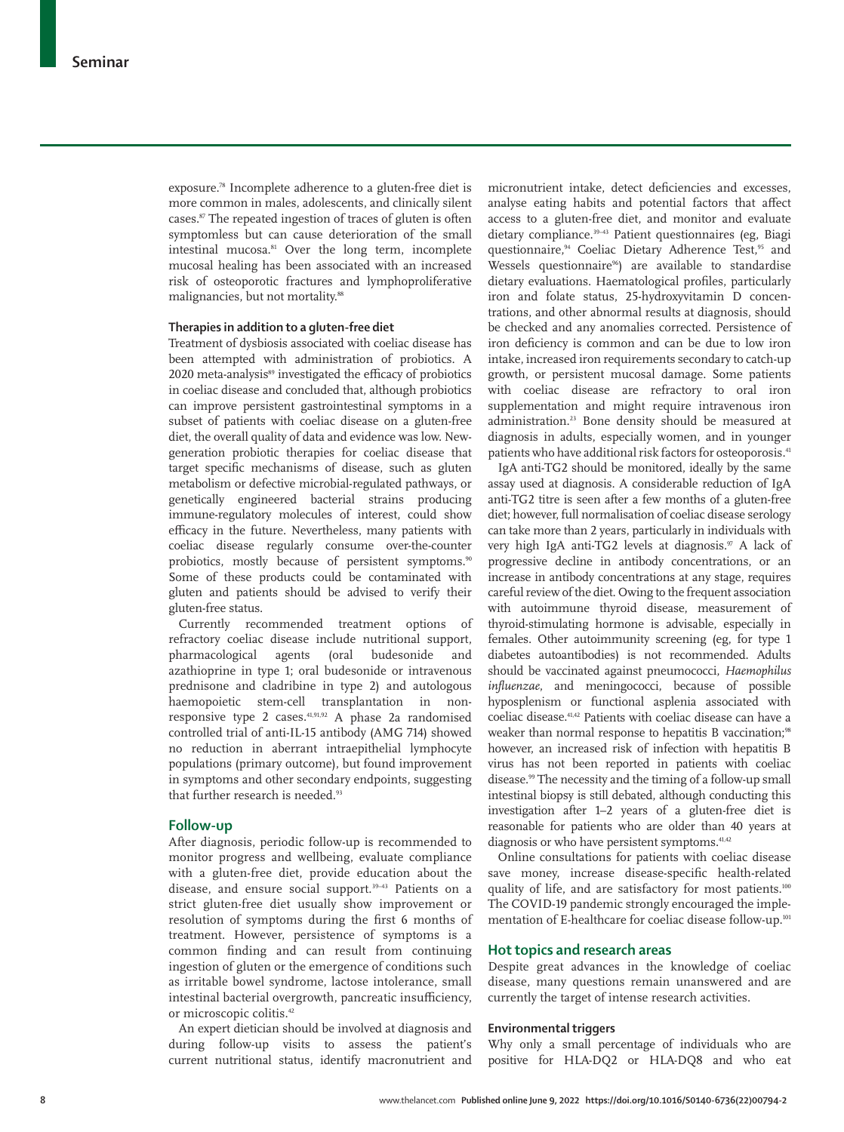exposure.78 Incomplete adherence to a gluten-free diet is more common in males, adolescents, and clinically silent cases.<sup>87</sup> The repeated ingestion of traces of gluten is often symptomless but can cause deterioration of the small intestinal mucosa.<sup>81</sup> Over the long term, incomplete mucosal healing has been associated with an increased risk of osteoporotic fractures and lymphoproliferative malignancies, but not mortality.<sup>88</sup>

## **Therapies in addition to a gluten-free diet**

Treatment of dysbiosis associated with coeliac disease has been attempted with administration of probiotics. A 2020 meta-analysis<sup>89</sup> investigated the efficacy of probiotics in coeliac disease and concluded that, although probiotics can improve persistent gastrointestinal symptoms in a subset of patients with coeliac disease on a gluten-free diet, the overall quality of data and evidence was low. Newgeneration probiotic therapies for coeliac disease that target specific mechanisms of disease, such as gluten metabolism or defective microbial-regulated pathways, or genetically engineered bacterial strains producing immune-regulatory molecules of interest, could show efficacy in the future. Nevertheless, many patients with coeliac disease regularly consume over-the-counter probiotics, mostly because of persistent symptoms.<sup>90</sup> Some of these products could be contaminated with gluten and patients should be advised to verify their gluten-free status.

Currently recommended treatment options of refractory coeliac disease include nutritional support, pharmacological agents (oral budesonide and azathioprine in type 1; oral budesonide or intravenous prednisone and cladribine in type 2) and autologous haemopoietic stem-cell transplantation in nonresponsive type 2 cases. $41,91,92$  A phase 2a randomised controlled trial of anti-IL-15 antibody (AMG 714) showed no reduction in aberrant intraepithelial lymphocyte populations (primary outcome), but found improvement in symptoms and other secondary endpoints, suggesting that further research is needed.<sup>93</sup>

## **Follow-up**

After diagnosis, periodic follow-up is recommended to monitor progress and wellbeing, evaluate compliance with a gluten-free diet, provide education about the disease, and ensure social support.<sup>39-43</sup> Patients on a strict gluten-free diet usually show improvement or resolution of symptoms during the first 6 months of treatment. However, persistence of symptoms is a common finding and can result from continuing ingestion of gluten or the emergence of conditions such as irritable bowel syndrome, lactose intolerance, small intestinal bacterial overgrowth, pancreatic insufficiency, or microscopic colitis.<sup>42</sup>

An expert dietician should be involved at diagnosis and during follow-up visits to assess the patient's current nutritional status, identify macronutrient and micronutrient intake, detect deficiencies and excesses, analyse eating habits and potential factors that affect access to a gluten-free diet, and monitor and evaluate dietary compliance.39–43 Patient questionnaires (eg, Biagi questionnaire,<sup>94</sup> Coeliac Dietary Adherence Test,<sup>95</sup> and Wessels questionnaire<sup>96</sup>) are available to standardise dietary evaluations. Haematological profiles, particularly iron and folate status, 25-hydroxyvitamin D concentrations, and other abnormal results at diagnosis, should be checked and any anomalies corrected. Persistence of iron deficiency is common and can be due to low iron intake, increased iron requirements secondary to catch-up growth, or persistent mucosal damage. Some patients with coeliac disease are refractory to oral iron supplementation and might require intravenous iron administration.23 Bone density should be measured at diagnosis in adults, especially women, and in younger patients who have additional risk factors for osteoporosis.<sup>41</sup>

IgA anti-TG2 should be monitored, ideally by the same assay used at diagnosis. A considerable reduction of IgA anti-TG2 titre is seen after a few months of a gluten-free diet; however, full normalisation of coeliac disease serology can take more than 2 years, particularly in individuals with very high IgA anti-TG2 levels at diagnosis.<sup>97</sup> A lack of progressive decline in antibody concentrations, or an increase in antibody concentrations at any stage, requires careful review of the diet. Owing to the frequent association with autoimmune thyroid disease, measurement of thyroid-stimulating hormone is advisable, especially in females. Other autoimmunity screening (eg, for type 1 diabetes autoantibodies) is not recommended. Adults should be vaccinated against pneumococci, *Haemophilus influenzae*, and meningococci, because of possible hyposplenism or functional asplenia associated with coeliac disease.41,42 Patients with coeliac disease can have a weaker than normal response to hepatitis B vaccination;<sup>98</sup> however, an increased risk of infection with hepatitis B virus has not been reported in patients with coeliac disease.99 The necessity and the timing of a follow-up small intestinal biopsy is still debated, although conducting this investigation after 1–2 years of a gluten-free diet is reasonable for patients who are older than 40 years at diagnosis or who have persistent symptoms.<sup>41,42</sup>

Online consultations for patients with coeliac disease save money, increase disease-specific health-related quality of life, and are satisfactory for most patients.<sup>100</sup> The COVID-19 pandemic strongly encouraged the implementation of E-healthcare for coeliac disease follow-up.101

## **Hot topics and research areas**

Despite great advances in the knowledge of coeliac disease, many questions remain unanswered and are currently the target of intense research activities.

## **Environmental triggers**

Why only a small percentage of individuals who are positive for HLA-DQ2 or HLA-DQ8 and who eat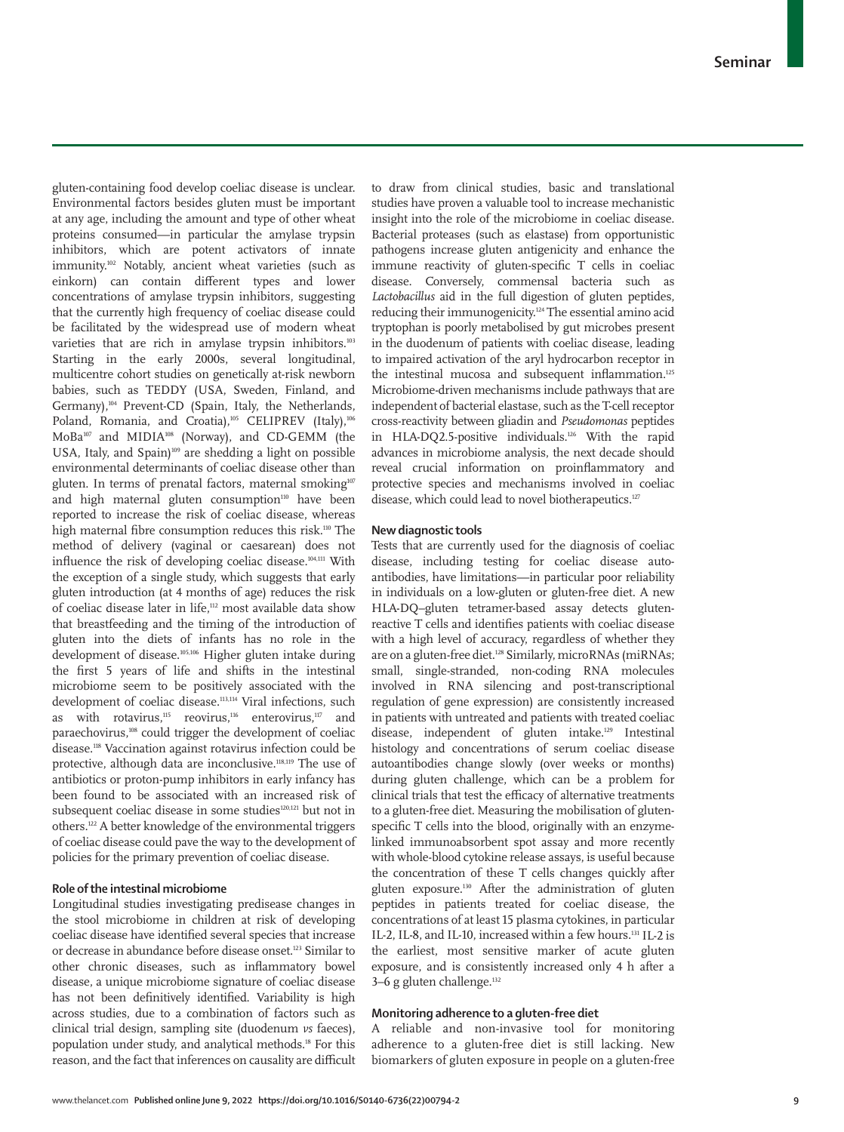gluten-containing food develop coeliac disease is unclear. Environmental factors besides gluten must be important at any age, including the amount and type of other wheat proteins consumed—in particular the amylase trypsin inhibitors, which are potent activators of innate immunity.102 Notably, ancient wheat varieties (such as einkorn) can contain different types and lower concentrations of amylase trypsin inhibitors, suggesting that the currently high frequency of coeliac disease could be facilitated by the widespread use of modern wheat varieties that are rich in amylase trypsin inhibitors.<sup>103</sup> Starting in the early 2000s, several longitudinal, multicentre cohort studies on genetically at-risk newborn babies, such as TEDDY (USA, Sweden, Finland, and Germany),<sup>104</sup> Prevent-CD (Spain, Italy, the Netherlands, Poland, Romania, and Croatia),105 CELIPREV (Italy),106 MoBa107 and MIDIA108 (Norway), and CD-GEMM (the USA, Italy, and Spain)<sup>109</sup> are shedding a light on possible environmental determinants of coeliac disease other than gluten. In terms of prenatal factors, maternal smoking<sup>107</sup> and high maternal gluten consumption<sup>110</sup> have been reported to increase the risk of coeliac disease, whereas high maternal fibre consumption reduces this risk.<sup>110</sup> The method of delivery (vaginal or caesarean) does not influence the risk of developing coeliac disease.104,111 With the exception of a single study, which suggests that early gluten introduction (at 4 months of age) reduces the risk of coeliac disease later in life,112 most available data show that breastfeeding and the timing of the introduction of gluten into the diets of infants has no role in the development of disease.105,106 Higher gluten intake during the first 5 years of life and shifts in the intestinal microbiome seem to be positively associated with the development of coeliac disease.<sup>113,114</sup> Viral infections, such as with rotavirus, $115$  reovirus, $116$  enterovirus, $117$  and paraechovirus,108 could trigger the development of coeliac disease.118 Vaccination against rotavirus infection could be protective, although data are inconclusive.<sup>118,119</sup> The use of antibiotics or proton-pump inhibitors in early infancy has been found to be associated with an increased risk of subsequent coeliac disease in some studies<sup>120,121</sup> but not in others.122 A better knowledge of the environmental triggers of coeliac disease could pave the way to the development of policies for the primary prevention of coeliac disease.

## **Role of the intestinal microbiome**

Longitudinal studies investigating predisease changes in the stool microbiome in children at risk of developing coeliac disease have identified several species that increase or decrease in abundance before disease onset.123 Similar to other chronic diseases, such as inflammatory bowel disease, a unique microbiome signature of coeliac disease has not been definitively identified. Variability is high across studies, due to a combination of factors such as clinical trial design, sampling site (duodenum *vs* faeces), population under study, and analytical methods.18 For this reason, and the fact that inferences on causality are difficult to draw from clinical studies, basic and translational studies have proven a valuable tool to increase mechanistic insight into the role of the microbiome in coeliac disease. Bacterial proteases (such as elastase) from opportunistic pathogens increase gluten antigenicity and enhance the immune reactivity of gluten-specific T cells in coeliac disease. Conversely, commensal bacteria such as *Lactobacillus* aid in the full digestion of gluten peptides, reducing their immunogenicity.124 The essential amino acid tryptophan is poorly metabolised by gut microbes present in the duodenum of patients with coeliac disease, leading to impaired activation of the aryl hydrocarbon receptor in the intestinal mucosa and subsequent inflammation.<sup>125</sup> Microbiome-driven mechanisms include pathways that are independent of bacterial elastase, such as the T-cell receptor cross-reactivity between gliadin and *Pseudomonas* peptides in HLA-DQ2.5-positive individuals.126 With the rapid advances in microbiome analysis, the next decade should reveal crucial information on proinflammatory and protective species and mechanisms involved in coeliac disease, which could lead to novel biotherapeutics.<sup>127</sup>

## **New diagnostic tools**

Tests that are currently used for the diagnosis of coeliac disease, including testing for coeliac disease autoantibodies, have limitations—in particular poor reliability in individuals on a low-gluten or gluten-free diet. A new HLA-DQ–gluten tetramer-based assay detects glutenreactive T cells and identifies patients with coeliac disease with a high level of accuracy, regardless of whether they are on a gluten-free diet.<sup>128</sup> Similarly, microRNAs (miRNAs; small, single-stranded, non-coding RNA molecules involved in RNA silencing and post-transcriptional regulation of gene expression) are consistently increased in patients with untreated and patients with treated coeliac disease, independent of gluten intake.129 Intestinal histology and concentrations of serum coeliac disease autoantibodies change slowly (over weeks or months) during gluten challenge, which can be a problem for clinical trials that test the efficacy of alternative treatments to a gluten-free diet. Measuring the mobilisation of glutenspecific T cells into the blood, originally with an enzymelinked immunoabsorbent spot assay and more recently with whole-blood cytokine release assays, is useful because the concentration of these T cells changes quickly after gluten exposure.130 After the administration of gluten peptides in patients treated for coeliac disease, the concentrations of at least 15 plasma cytokines, in particular IL-2, IL-8, and IL-10, increased within a few hours.131 IL-2 is the earliest, most sensitive marker of acute gluten exposure, and is consistently increased only 4 h after a  $3-6$  g gluten challenge.<sup>132</sup>

## **Monitoring adherence to a gluten-free diet**

A reliable and non-invasive tool for monitoring adherence to a gluten-free diet is still lacking. New biomarkers of gluten exposure in people on a gluten-free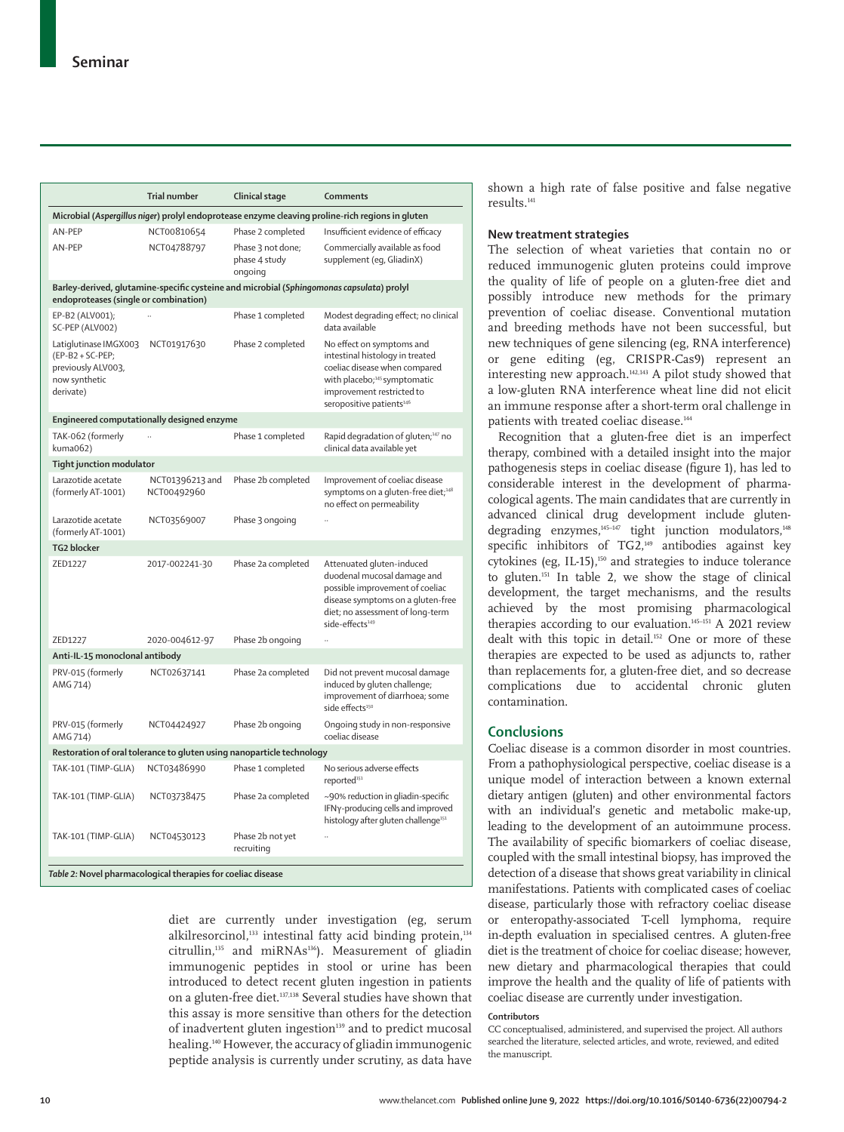|                                                                                                                                    | <b>Trial number</b>                                          | Clinical stage                                | Comments                                                                                                                                                                                                       |  |  |  |
|------------------------------------------------------------------------------------------------------------------------------------|--------------------------------------------------------------|-----------------------------------------------|----------------------------------------------------------------------------------------------------------------------------------------------------------------------------------------------------------------|--|--|--|
|                                                                                                                                    |                                                              |                                               | Microbial (Aspergillus niger) prolyl endoprotease enzyme cleaving proline-rich regions in gluten                                                                                                               |  |  |  |
| AN-PEP                                                                                                                             | NCT00810654                                                  | Phase 2 completed                             | Insufficient evidence of efficacy                                                                                                                                                                              |  |  |  |
| AN-PEP                                                                                                                             | NCT04788797                                                  | Phase 3 not done;<br>phase 4 study<br>ongoing | Commercially available as food<br>supplement (eg, GliadinX)                                                                                                                                                    |  |  |  |
| Barley-derived, glutamine-specific cysteine and microbial (Sphingomonas capsulata) prolyl<br>endoproteases (single or combination) |                                                              |                                               |                                                                                                                                                                                                                |  |  |  |
| EP-B2 (ALV001);<br>SC-PEP (ALVOO2)                                                                                                 |                                                              | Phase 1 completed                             | Modest degrading effect; no clinical<br>data available                                                                                                                                                         |  |  |  |
| Latiglutinase IMGX003<br>(EP-B2 + SC-PEP;<br>previously ALV003,<br>now synthetic<br>derivate)                                      | NCT01917630                                                  | Phase 2 completed                             | No effect on symptoms and<br>intestinal histology in treated<br>coeliac disease when compared<br>with placebo; <sup>145</sup> symptomatic<br>improvement restricted to<br>seropositive patients <sup>146</sup> |  |  |  |
| Engineered computationally designed enzyme                                                                                         |                                                              |                                               |                                                                                                                                                                                                                |  |  |  |
| TAK-062 (formerly<br>kuma062)                                                                                                      |                                                              | Phase 1 completed                             | Rapid degradation of gluten; <sup>147</sup> no<br>clinical data available yet                                                                                                                                  |  |  |  |
| Tight junction modulator                                                                                                           |                                                              |                                               |                                                                                                                                                                                                                |  |  |  |
| Larazotide acetate<br>(formerly AT-1001)                                                                                           | NCT01396213 and<br>NCT00492960                               | Phase 2b completed                            | Improvement of coeliac disease<br>symptoms on a gluten-free diet; <sup>148</sup><br>no effect on permeability                                                                                                  |  |  |  |
| Larazotide acetate<br>(formerly AT-1001)                                                                                           | NCT03569007                                                  | Phase 3 ongoing                               |                                                                                                                                                                                                                |  |  |  |
| <b>TG2 blocker</b>                                                                                                                 |                                                              |                                               |                                                                                                                                                                                                                |  |  |  |
| ZED1227                                                                                                                            | 2017-002241-30                                               | Phase 2a completed                            | Attenuated gluten-induced<br>duodenal mucosal damage and<br>possible improvement of coeliac<br>disease symptoms on a gluten-free<br>diet; no assessment of long-term<br>side-effects <sup>149</sup>            |  |  |  |
| ZED1227                                                                                                                            | 2020-004612-97                                               | Phase 2b ongoing                              |                                                                                                                                                                                                                |  |  |  |
| Anti-IL-15 monoclonal antibody                                                                                                     |                                                              |                                               |                                                                                                                                                                                                                |  |  |  |
| PRV-015 (formerly<br>AMG 714)                                                                                                      | NCT02637141                                                  | Phase 2a completed                            | Did not prevent mucosal damage<br>induced by gluten challenge;<br>improvement of diarrhoea; some<br>side effects <sup>150</sup>                                                                                |  |  |  |
| PRV-015 (formerly<br>AMG 714)                                                                                                      | NCT04424927                                                  | Phase 2b ongoing                              | Ongoing study in non-responsive<br>coeliac disease                                                                                                                                                             |  |  |  |
| Restoration of oral tolerance to gluten using nanoparticle technology                                                              |                                                              |                                               |                                                                                                                                                                                                                |  |  |  |
| TAK-101 (TIMP-GLIA)                                                                                                                | NCT03486990                                                  | Phase 1 completed                             | No serious adverse effects<br>reported <sup>151</sup>                                                                                                                                                          |  |  |  |
| TAK-101 (TIMP-GLIA)                                                                                                                | NCT03738475                                                  | Phase 2a completed                            | ~90% reduction in gliadin-specific<br>IFNy-producing cells and improved<br>histology after gluten challenge <sup>151</sup>                                                                                     |  |  |  |
| TAK-101 (TIMP-GLIA)                                                                                                                | NCT04530123                                                  | Phase 2b not yet<br>recruiting                |                                                                                                                                                                                                                |  |  |  |
|                                                                                                                                    | Table 2: Novel pharmacological therapies for coeliac disease |                                               |                                                                                                                                                                                                                |  |  |  |

diet are currently under investigation (eg, serum alkilresorcinol, $133$  intestinal fatty acid binding protein, $134$ citrullin,<sup>135</sup> and miRNAs<sup>136</sup>). Measurement of gliadin immunogenic peptides in stool or urine has been introduced to detect recent gluten ingestion in patients on a gluten-free diet.137,138 Several studies have shown that this assay is more sensitive than others for the detection of inadvertent gluten ingestion<sup>139</sup> and to predict mucosal healing.<sup>140</sup> However, the accuracy of gliadin immunogenic peptide analysis is currently under scrutiny, as data have shown a high rate of false positive and false negative results.141

## **New treatment strategies**

The selection of wheat varieties that contain no or reduced immunogenic gluten proteins could improve the quality of life of people on a gluten-free diet and possibly introduce new methods for the primary prevention of coeliac disease. Conventional mutation and breeding methods have not been successful, but new techniques of gene silencing (eg, RNA interference) or gene editing (eg, CRISPR-Cas9) represent an interesting new approach.142,143 A pilot study showed that a low-gluten RNA interference wheat line did not elicit an immune response after a short-term oral challenge in patients with treated coeliac disease.<sup>144</sup>

Recognition that a gluten-free diet is an imperfect therapy, combined with a detailed insight into the major pathogenesis steps in coeliac disease (figure 1), has led to considerable interest in the development of pharmacological agents. The main candidates that are currently in advanced clinical drug development include glutendegrading enzymes,<sup>145-147</sup> tight junction modulators,<sup>148</sup> specific inhibitors of TG2,<sup>149</sup> antibodies against key cytokines (eg, IL-15),<sup>150</sup> and strategies to induce tolerance to gluten.151 In table 2, we show the stage of clinical development, the target mechanisms, and the results achieved by the most promising pharmacological therapies according to our evaluation.<sup>145-151</sup> A 2021 review dealt with this topic in detail.152 One or more of these therapies are expected to be used as adjuncts to, rather than replacements for, a gluten-free diet, and so decrease complications due to accidental chronic gluten contamination.

## **Conclusions**

Coeliac disease is a common disorder in most countries. From a pathophysiological perspective, coeliac disease is a unique model of interaction between a known external dietary antigen (gluten) and other environmental factors with an individual's genetic and metabolic make-up, leading to the development of an autoimmune process. The availability of specific biomarkers of coeliac disease, coupled with the small intestinal biopsy, has improved the detection of a disease that shows great variability in clinical manifestations. Patients with complicated cases of coeliac disease, particularly those with refractory coeliac disease or enteropathy-associated T-cell lymphoma, require in-depth evaluation in specialised centres. A gluten-free diet is the treatment of choice for coeliac disease; however, new dietary and pharmacological therapies that could improve the health and the quality of life of patients with coeliac disease are currently under investigation.

#### **Contributors**

CC conceptualised, administered, and supervised the project. All authors searched the literature, selected articles, and wrote, reviewed, and edited the manuscript.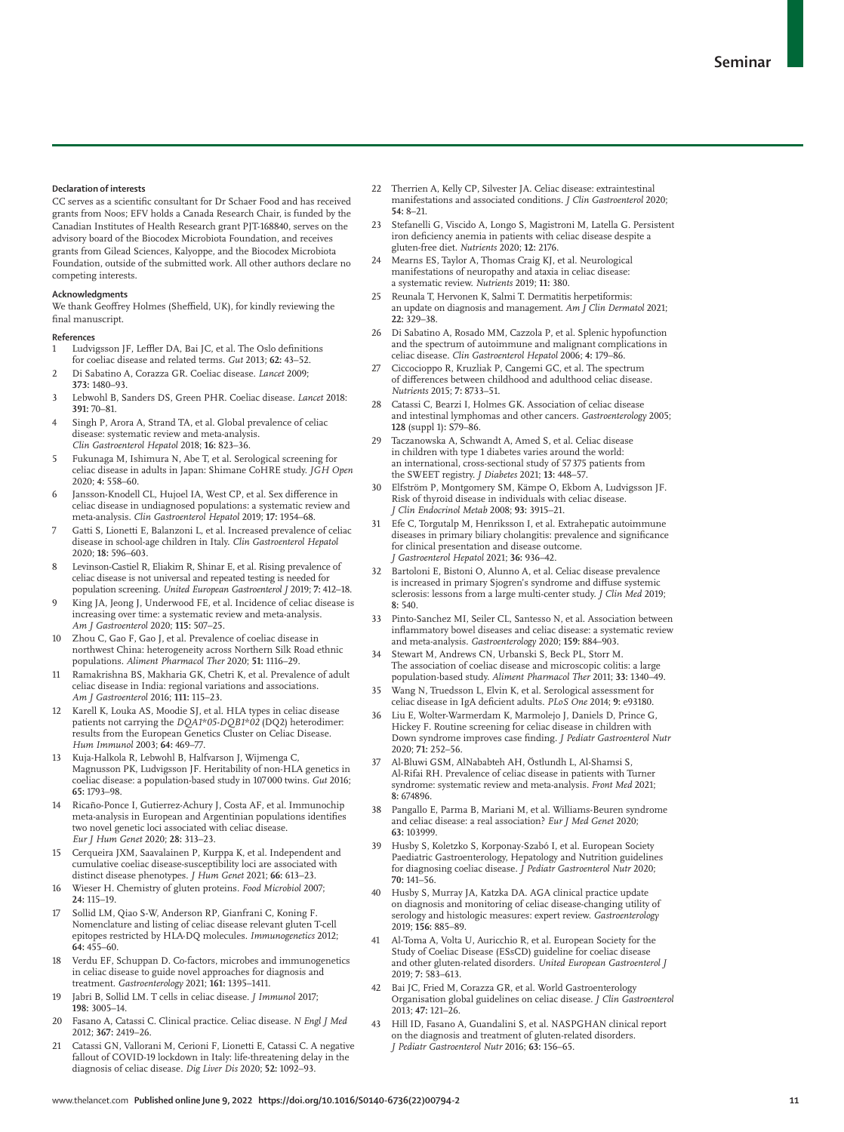#### **Declaration of interests**

CC serves as a scientific consultant for Dr Schaer Food and has received grants from Noos; EFV holds a Canada Research Chair, is funded by the Canadian Institutes of Health Research grant PJT-168840, serves on the advisory board of the Biocodex Microbiota Foundation, and receives grants from Gilead Sciences, Kalyoppe, and the Biocodex Microbiota Foundation, outside of the submitted work. All other authors declare no competing interests.

#### **Acknowledgments**

We thank Geoffrey Holmes (Sheffield, UK), for kindly reviewing the final manuscript.

#### **References**

- 1 Ludvigsson JF, Leffler DA, Bai JC, et al. The Oslo definitions for coeliac disease and related terms. *Gut* 2013; **62:** 43–52.
- 2 Di Sabatino A, Corazza GR. Coeliac disease. *Lancet* 2009; **373:** 1480–93.
- 3 Lebwohl B, Sanders DS, Green PHR. Coeliac disease. *Lancet* 2018: **391:** 70–81.
- Singh P, Arora A, Strand TA, et al. Global prevalence of celiac disease: systematic review and meta-analysis. *Clin Gastroenterol Hepatol* 2018; **16:** 823–36.
- 5 Fukunaga M, Ishimura N, Abe T, et al. Serological screening for celiac disease in adults in Japan: Shimane CoHRE study. *JGH Open* 2020; **4:** 558–60.
- Jansson-Knodell CL, Hujoel IA, West CP, et al. Sex difference in celiac disease in undiagnosed populations: a systematic review and meta-analysis. *Clin Gastroenterol Hepatol* 2019; **17:** 1954–68.
- Gatti S, Lionetti E, Balanzoni L, et al. Increased prevalence of celiac disease in school-age children in Italy. *Clin Gastroenterol Hepatol* 2020; **18:** 596–603.
- Levinson-Castiel R, Eliakim R, Shinar E, et al. Rising prevalence of celiac disease is not universal and repeated testing is needed for population screening. *United European Gastroenterol J* 2019; **7:** 412–18.
- King JA, Jeong J, Underwood FE, et al. Incidence of celiac disease is increasing over time: a systematic review and meta-analysis. *Am J Gastroenterol* 2020; **115:** 507–25.
- 10 Zhou C, Gao F, Gao J, et al. Prevalence of coeliac disease in northwest China: heterogeneity across Northern Silk Road ethnic populations. *Aliment Pharmacol Ther* 2020; **51:** 1116–29.
- 11 Ramakrishna BS, Makharia GK, Chetri K, et al. Prevalence of adult celiac disease in India: regional variations and associations. *Am J Gastroenterol* 2016; **111:** 115–23.
- 12 Karell K, Louka AS, Moodie SJ, et al. HLA types in celiac disease patients not carrying the *DQA1\*05-DQB1\*02* (DQ2) heterodimer: results from the European Genetics Cluster on Celiac Disease. *Hum Immunol* 2003; **64:** 469–77.
- 13 Kuja-Halkola R, Lebwohl B, Halfvarson J, Wijmenga C, Magnusson PK, Ludvigsson JF. Heritability of non-HLA genetics in coeliac disease: a population-based study in 107000 twins. *Gut* 2016; **65:** 1793–98.
- 14 Ricaño-Ponce I, Gutierrez-Achury J, Costa AF, et al. Immunochip meta-analysis in European and Argentinian populations identifies two novel genetic loci associated with celiac disease. *Eur J Hum Genet* 2020; **28:** 313–23.
- 15 Cerqueira JXM, Saavalainen P, Kurppa K, et al. Independent and cumulative coeliac disease-susceptibility loci are associated with distinct disease phenotypes. *J Hum Genet* 2021; **66:** 613–23.
- 16 Wieser H. Chemistry of gluten proteins. *Food Microbiol* 2007; **24:** 115–19.
- 17 Sollid LM, Qiao S-W, Anderson RP, Gianfrani C, Koning F. Nomenclature and listing of celiac disease relevant gluten T-cell epitopes restricted by HLA-DQ molecules. *Immunogenetics* 2012; **64:** 455–60.
- 18 Verdu EF, Schuppan D. Co-factors, microbes and immunogenetics in celiac disease to guide novel approaches for diagnosis and treatment. *Gastroenterology* 2021; **161:** 1395–1411.
- 19 Jabri B, Sollid LM. T cells in celiac disease. *J Immunol* 2017; **198:** 3005–14.
- 20 Fasano A, Catassi C. Clinical practice. Celiac disease. *N Engl J Med* 2012; **367:** 2419–26.
- 21 Catassi GN, Vallorani M, Cerioni F, Lionetti E, Catassi C. A negative fallout of COVID-19 lockdown in Italy: life-threatening delay in the diagnosis of celiac disease. *Dig Liver Dis* 2020; **52:** 1092–93.
- 22 Therrien A, Kelly CP, Silvester JA. Celiac disease: extraintestinal manifestations and associated conditions. *J Clin Gastroenterol* 2020; **54:** 8–21.
- 23 Stefanelli G, Viscido A, Longo S, Magistroni M, Latella G. Persistent iron deficiency anemia in patients with celiac disease despite a gluten-free diet. *Nutrients* 2020; **12:** 2176.
- 24 Mearns ES, Taylor A, Thomas Craig KJ, et al. Neurological manifestations of neuropathy and ataxia in celiac disease: a systematic review. *Nutrients* 2019; **11:** 380.
- 25 Reunala T, Hervonen K, Salmi T. Dermatitis herpetiformis: an update on diagnosis and management. *Am J Clin Dermatol* 2021; **22:** 329–38.
- 26 Di Sabatino A, Rosado MM, Cazzola P, et al. Splenic hypofunction and the spectrum of autoimmune and malignant complications in celiac disease. *Clin Gastroenterol Hepatol* 2006; **4:** 179–86.
- 27 Ciccocioppo R, Kruzliak P, Cangemi GC, et al. The spectrum of differences between childhood and adulthood celiac disease. *Nutrients* 2015; **7:** 8733–51.
- 28 Catassi C, Bearzi I, Holmes GK. Association of celiac disease and intestinal lymphomas and other cancers. *Gastroenterology* 2005; **128** (suppl 1)**:** S79–86.
- 29 Taczanowska A, Schwandt A, Amed S, et al. Celiac disease in children with type 1 diabetes varies around the world: an international, cross-sectional study of 57 375 patients from the SWEET registry. *J Diabetes* 2021; **13:** 448–57.
- 30 Elfström P, Montgomery SM, Kämpe O, Ekbom A, Ludvigsson JF. Risk of thyroid disease in individuals with celiac disease. *J Clin Endocrinol Metab* 2008; **93:** 3915–21.
- Efe C, Torgutalp M, Henriksson I, et al. Extrahepatic autoimmune diseases in primary biliary cholangitis: prevalence and significance for clinical presentation and disease outcome. *J Gastroenterol Hepatol* 2021; **36:** 936–42.
- 32 Bartoloni E, Bistoni O, Alunno A, et al. Celiac disease prevalence is increased in primary Sjogren's syndrome and diffuse systemic sclerosis: lessons from a large multi-center study. *J Clin Med* 2019; **8:** 540.
- 33 Pinto-Sanchez MI, Seiler CL, Santesso N, et al. Association between inflammatory bowel diseases and celiac disease: a systematic review and meta-analysis. *Gastroenterology* 2020; **159:** 884–903.
- 34 Stewart M, Andrews CN, Urbanski S, Beck PL, Storr M. The association of coeliac disease and microscopic colitis: a large population-based study. *Aliment Pharmacol Ther* 2011; **33:** 1340–49.
- 35 Wang N, Truedsson L, Elvin K, et al. Serological assessment for celiac disease in IgA deficient adults. *PLoS One* 2014; **9:** e93180.
- 36 Liu E, Wolter-Warmerdam K, Marmolejo J, Daniels D, Prince G, Hickey F. Routine screening for celiac disease in children with Down syndrome improves case finding. *J Pediatr Gastroenterol Nutr* 2020; **71:** 252–56.
- 37 Al-Bluwi GSM, AlNababteh AH, Östlundh L, Al-Shamsi S, Al-Rifai RH. Prevalence of celiac disease in patients with Turner syndrome: systematic review and meta-analysis. *Front Med* 2021; **8:** 674896.
- 38 Pangallo E, Parma B, Mariani M, et al. Williams-Beuren syndrome and celiac disease: a real association? *Eur J Med Genet* 2020; **63:** 103999.
- 39 Husby S, Koletzko S, Korponay-Szabó I, et al. European Society Paediatric Gastroenterology, Hepatology and Nutrition guidelines for diagnosing coeliac disease. *J Pediatr Gastroenterol Nutr* 2020; **70:** 141–56.
- 40 Husby S, Murray JA, Katzka DA. AGA clinical practice update on diagnosis and monitoring of celiac disease-changing utility of serology and histologic measures: expert review. *Gastroenterology* 2019; **156:** 885–89.
- 41 Al-Toma A, Volta U, Auricchio R, et al. European Society for the Study of Coeliac Disease (ESsCD) guideline for coeliac disease and other gluten-related disorders. *United European Gastroenterol J* 2019; **7:** 583–613.
- Bai JC, Fried M, Corazza GR, et al. World Gastroenterology Organisation global guidelines on celiac disease. *J Clin Gastroenterol* 2013; **47:** 121–26.
- 43 Hill ID, Fasano A, Guandalini S, et al. NASPGHAN clinical report on the diagnosis and treatment of gluten-related disorders. *J Pediatr Gastroenterol Nutr* 2016; **63:** 156–65.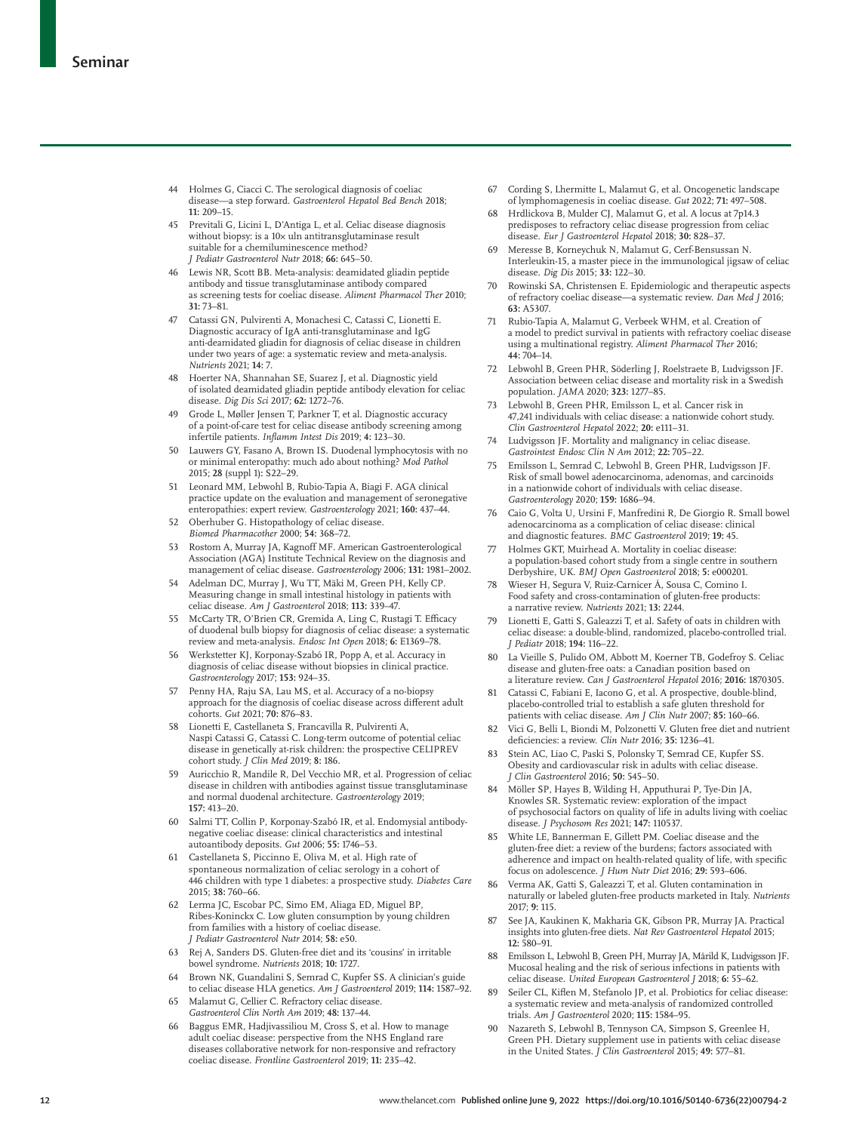- 44 Holmes G, Ciacci C. The serological diagnosis of coeliac disease—a step forward. *Gastroenterol Hepatol Bed Bench* 2018; **11:** 209–15.
- 45 Previtali G, Licini L, D'Antiga L, et al. Celiac disease diagnosis without biopsy: is a 10× uln antitransglutaminase result suitable for a chemiluminescence method? *J Pediatr Gastroenterol Nutr* 2018; **66:** 645–50.
- 46 Lewis NR, Scott BB. Meta-analysis: deamidated gliadin peptide antibody and tissue transglutaminase antibody compared as screening tests for coeliac disease. *Aliment Pharmacol Ther* 2010; **31:** 73–81.
- 47 Catassi GN, Pulvirenti A, Monachesi C, Catassi C, Lionetti E. Diagnostic accuracy of IgA anti-transglutaminase and IgG anti-deamidated gliadin for diagnosis of celiac disease in children under two years of age: a systematic review and meta-analysis. *Nutrients* 2021; **14:** 7.
- 48 Hoerter NA, Shannahan SE, Suarez J, et al. Diagnostic yield of isolated deamidated gliadin peptide antibody elevation for celiac disease. *Dig Dis Sci* 2017; **62:** 1272–76.
- 49 Grode L, Møller Jensen T, Parkner T, et al. Diagnostic accuracy of a point-of-care test for celiac disease antibody screening among infertile patients. *Inflamm Intest Dis* 2019; **4:** 123–30.
- 50 Lauwers GY, Fasano A, Brown IS. Duodenal lymphocytosis with no or minimal enteropathy: much ado about nothing? *Mod Pathol* 2015; **28** (suppl 1)**:** S22–29.
- 51 Leonard MM, Lebwohl B, Rubio-Tapia A, Biagi F. AGA clinical practice update on the evaluation and management of seronegative enteropathies: expert review. *Gastroenterology* 2021; **160:** 437–44.
- 52 Oberhuber G. Histopathology of celiac disease. *Biomed Pharmacother* 2000; **54:** 368–72.
- 53 Rostom A, Murray JA, Kagnoff MF. American Gastroenterological Association (AGA) Institute Technical Review on the diagnosis and management of celiac disease. *Gastroenterology* 2006; **131:** 1981–2002.
- 54 Adelman DC, Murray J, Wu TT, Mäki M, Green PH, Kelly CP. Measuring change in small intestinal histology in patients with celiac disease. *Am J Gastroenterol* 2018; **113:** 339–47.
- 55 McCarty TR, O'Brien CR, Gremida A, Ling C, Rustagi T. Efficacy of duodenal bulb biopsy for diagnosis of celiac disease: a systematic review and meta-analysis. *Endosc Int Open* 2018; **6:** E1369–78.
- 56 Werkstetter KJ, Korponay-Szabó IR, Popp A, et al. Accuracy in diagnosis of celiac disease without biopsies in clinical practice. *Gastroenterology* 2017; **153:** 924–35.
- 57 Penny HA, Raju SA, Lau MS, et al. Accuracy of a no-biopsy approach for the diagnosis of coeliac disease across different adult cohorts. *Gut* 2021; **70:** 876–83.
- 58 Lionetti E, Castellaneta S, Francavilla R, Pulvirenti A, Naspi Catassi G, Catassi C. Long-term outcome of potential celiac disease in genetically at-risk children: the prospective CELIPREV cohort study. *J Clin Med* 2019; **8:** 186.
- 59 Auricchio R, Mandile R, Del Vecchio MR, et al. Progression of celiac disease in children with antibodies against tissue transglutaminase and normal duodenal architecture. *Gastroenterology* 2019; **157:** 413–20.
- 60 Salmi TT, Collin P, Korponay-Szabó IR, et al. Endomysial antibodynegative coeliac disease: clinical characteristics and intestinal autoantibody deposits. *Gut* 2006; **55:** 1746–53.
- 61 Castellaneta S, Piccinno E, Oliva M, et al. High rate of spontaneous normalization of celiac serology in a cohort of 446 children with type 1 diabetes: a prospective study. *Diabetes Care* 2015; **38:** 760–66.
- 62 Lerma JC, Escobar PC, Simo EM, Aliaga ED, Miguel BP, Ribes-Koninckx C. Low gluten consumption by young children from families with a history of coeliac disease. *J Pediatr Gastroenterol Nutr* 2014; **58:** e50.
- 63 Rej A, Sanders DS. Gluten-free diet and its 'cousins' in irritable bowel syndrome. *Nutrients* 2018; **10:** 1727.
- 64 Brown NK, Guandalini S, Semrad C, Kupfer SS. A clinician's guide to celiac disease HLA genetics. *Am J Gastroenterol* 2019; **114:** 1587–92.
- 65 Malamut G, Cellier C. Refractory celiac disease. *Gastroenterol Clin North Am* 2019; **48:** 137–44.
- 66 Baggus EMR, Hadjivassiliou M, Cross S, et al. How to manage adult coeliac disease: perspective from the NHS England rare diseases collaborative network for non-responsive and refractory coeliac disease. *Frontline Gastroenterol* 2019; **11:** 235–42.
- 67 Cording S, Lhermitte L, Malamut G, et al. Oncogenetic landscape of lymphomagenesis in coeliac disease. *Gut* 2022; **71:** 497–508.
- 68 Hrdlickova B, Mulder CJ, Malamut G, et al. A locus at 7p14.3 predisposes to refractory celiac disease progression from celiac disease. *Eur J Gastroenterol Hepatol* 2018; **30:** 828–37.
- 69 Meresse B, Korneychuk N, Malamut G, Cerf-Bensussan N. Interleukin-15, a master piece in the immunological jigsaw of celiac disease. *Dig Dis* 2015; **33:** 122–30.
- 70 Rowinski SA, Christensen E. Epidemiologic and therapeutic aspects of refractory coeliac disease—a systematic review. *Dan Med J* 2016; **63:** A5307.
- 71 Rubio-Tapia A, Malamut G, Verbeek WHM, et al. Creation of a model to predict survival in patients with refractory coeliac disease using a multinational registry. *Aliment Pharmacol Ther* 2016; **44:** 704–14.
- Lebwohl B, Green PHR, Söderling J, Roelstraete B, Ludvigsson JF. Association between celiac disease and mortality risk in a Swedish population. *JAMA* 2020; **323:** 1277–85.
- 73 Lebwohl B, Green PHR, Emilsson L, et al. Cancer risk in 47,241 individuals with celiac disease: a nationwide cohort study. *Clin Gastroenterol Hepatol* 2022; **20:** e111–31.
- Ludvigsson JF. Mortality and malignancy in celiac disease. *Gastrointest Endosc Clin N Am* 2012; **22:** 705–22.
- 75 Emilsson L, Semrad C, Lebwohl B, Green PHR, Ludvigsson JF. Risk of small bowel adenocarcinoma, adenomas, and carcinoids in a nationwide cohort of individuals with celiac disease. *Gastroenterology* 2020; **159:** 1686–94.
- 76 Caio G, Volta U, Ursini F, Manfredini R, De Giorgio R. Small bowel adenocarcinoma as a complication of celiac disease: clinical and diagnostic features. *BMC Gastroenterol* 2019; **19:** 45.
- Holmes GKT, Muirhead A. Mortality in coeliac disease: a population-based cohort study from a single centre in southern Derbyshire, UK. *BMJ Open Gastroenterol* 2018; **5:** e000201.
- 78 Wieser H, Segura V, Ruiz-Carnicer Á, Sousa C, Comino I. Food safety and cross-contamination of gluten-free products: a narrative review. *Nutrients* 2021; **13:** 2244.
- 79 Lionetti E, Gatti S, Galeazzi T, et al. Safety of oats in children with celiac disease: a double-blind, randomized, placebo-controlled trial. *J Pediatr* 2018; **194:** 116–22.
- 80 La Vieille S, Pulido OM, Abbott M, Koerner TB, Godefroy S. Celiac disease and gluten-free oats: a Canadian position based on a literature review. *Can J Gastroenterol Hepatol* 2016; **2016:** 1870305.
- 81 Catassi C, Fabiani E, Iacono G, et al. A prospective, double-blind, placebo-controlled trial to establish a safe gluten threshold for patients with celiac disease. *Am J Clin Nutr* 2007; **85:** 160–66.
- 82 Vici G, Belli L, Biondi M, Polzonetti V. Gluten free diet and nutrient deficiencies: a review. *Clin Nutr* 2016; **35:** 1236–41.
- 83 Stein AC, Liao C, Paski S, Polonsky T, Semrad CE, Kupfer SS. Obesity and cardiovascular risk in adults with celiac disease. *J Clin Gastroenterol* 2016; **50:** 545–50.
- 84 Möller SP, Hayes B, Wilding H, Apputhurai P, Tye-Din JA, Knowles SR. Systematic review: exploration of the impact of psychosocial factors on quality of life in adults living with coeliac disease. *J Psychosom Res* 2021; **147:** 110537.
- 85 White LE, Bannerman E, Gillett PM. Coeliac disease and the gluten-free diet: a review of the burdens; factors associated with adherence and impact on health-related quality of life, with specific focus on adolescence. *J Hum Nutr Diet* 2016; **29:** 593–606.
- 86 Verma AK, Gatti S, Galeazzi T, et al. Gluten contamination in naturally or labeled gluten-free products marketed in Italy. *Nutrients* 2017; **9:** 115.
- See JA, Kaukinen K, Makharia GK, Gibson PR, Murray JA. Practical insights into gluten-free diets. *Nat Rev Gastroenterol Hepatol* 2015; **12:** 580–91.
- 88 Emilsson L, Lebwohl B, Green PH, Murray JA, Mårild K, Ludvigsson JF. Mucosal healing and the risk of serious infections in patients with celiac disease. *United European Gastroenterol J* 2018; **6:** 55–62.
- 89 Seiler CL, Kiflen M, Stefanolo JP, et al. Probiotics for celiac disease: a systematic review and meta-analysis of randomized controlled trials. *Am J Gastroenterol* 2020; **115:** 1584–95.
- 90 Nazareth S, Lebwohl B, Tennyson CA, Simpson S, Greenlee H, Green PH. Dietary supplement use in patients with celiac disease in the United States. *J Clin Gastroenterol* 2015; **49:** 577–81.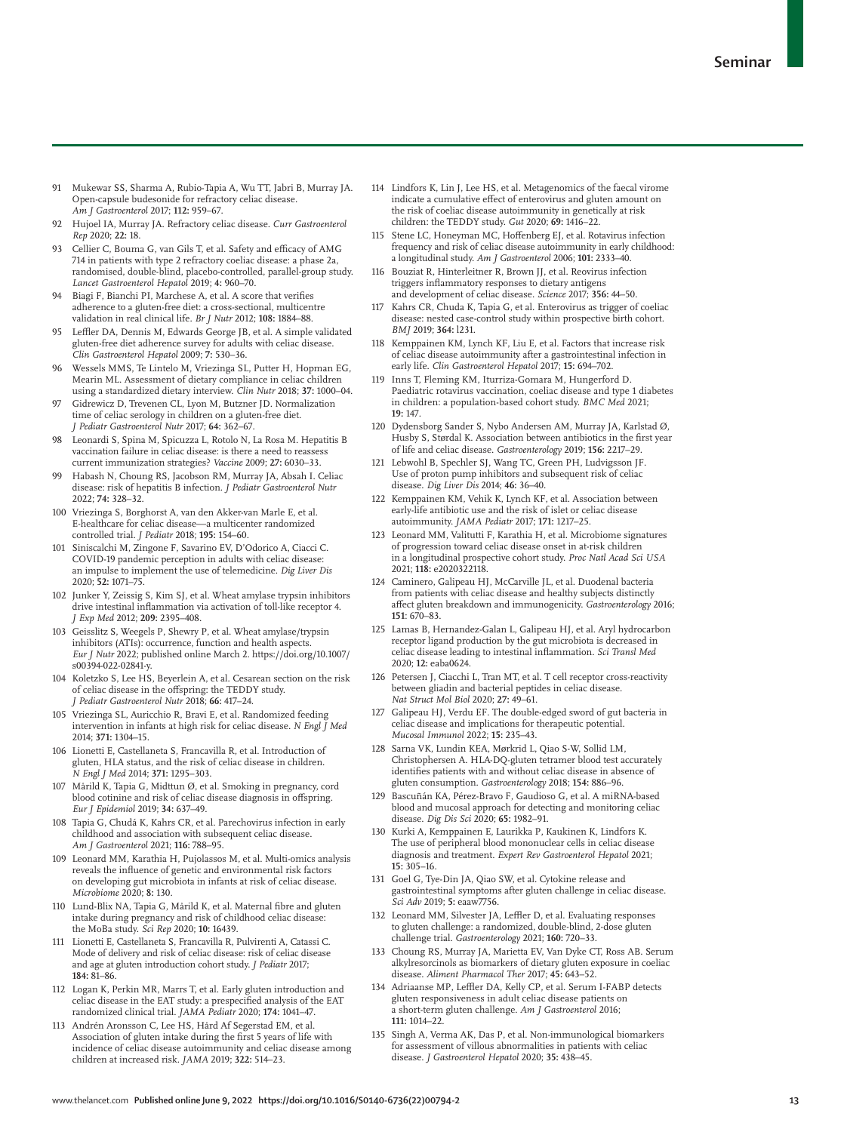- 91 Mukewar SS, Sharma A, Rubio-Tapia A, Wu TT, Jabri B, Murray JA. Open-capsule budesonide for refractory celiac disease. *Am J Gastroenterol* 2017; **112:** 959–67.
- 92 Hujoel IA, Murray JA. Refractory celiac disease. *Curr Gastroenterol Rep* 2020; **22:** 18.
- 93 Cellier C, Bouma G, van Gils T, et al. Safety and efficacy of AMG 714 in patients with type 2 refractory coeliac disease: a phase 2a, randomised, double-blind, placebo-controlled, parallel-group study. *Lancet Gastroenterol Hepatol* 2019; **4:** 960–70.
- 94 Biagi F, Bianchi PI, Marchese A, et al. A score that verifies adherence to a gluten-free diet: a cross-sectional, multicentre validation in real clinical life. *Br J Nutr* 2012; **108:** 1884–88.
- Leffler DA, Dennis M, Edwards George JB, et al. A simple validated gluten-free diet adherence survey for adults with celiac disease. *Clin Gastroenterol Hepatol* 2009; **7:** 530–36.
- 96 Wessels MMS, Te Lintelo M, Vriezinga SL, Putter H, Hopman EG, Mearin ML. Assessment of dietary compliance in celiac children using a standardized dietary interview. *Clin Nutr* 2018; **37:** 1000–04.
- 97 Gidrewicz D, Trevenen CL, Lyon M, Butzner JD. Normalization time of celiac serology in children on a gluten-free diet. *J Pediatr Gastroenterol Nutr* 2017; **64:** 362–67.
- 98 Leonardi S, Spina M, Spicuzza L, Rotolo N, La Rosa M. Hepatitis B vaccination failure in celiac disease: is there a need to reassess current immunization strategies? *Vaccine* 2009; **27:** 6030–33.
- Habash N, Choung RS, Jacobson RM, Murray JA, Absah I. Celiac disease: risk of hepatitis B infection. *J Pediatr Gastroenterol Nutr* 2022; **74:** 328–32.
- 100 Vriezinga S, Borghorst A, van den Akker-van Marle E, et al. E-healthcare for celiac disease—a multicenter randomized controlled trial. *J Pediatr* 2018; **195:** 154–60.
- 101 Siniscalchi M, Zingone F, Savarino EV, D'Odorico A, Ciacci C. COVID-19 pandemic perception in adults with celiac disease: an impulse to implement the use of telemedicine. *Dig Liver Dis* 2020; **52:** 1071–75.
- 102 Junker Y, Zeissig S, Kim SJ, et al. Wheat amylase trypsin inhibitors drive intestinal inflammation via activation of toll-like receptor 4. *J Exp Med* 2012; **209:** 2395–408.
- 103 Geisslitz S, Weegels P, Shewry P, et al. Wheat amylase/trypsin inhibitors (ATIs): occurrence, function and health aspects. *Eur J Nutr* 2022; published online March 2. https://doi.org/10.1007/ s00394-022-02841-y.
- 104 Koletzko S, Lee HS, Beyerlein A, et al. Cesarean section on the risk of celiac disease in the offspring: the TEDDY study. *J Pediatr Gastroenterol Nutr* 2018; **66:** 417–24.
- 105 Vriezinga SL, Auricchio R, Bravi E, et al. Randomized feeding intervention in infants at high risk for celiac disease. *N Engl J Med* 2014; **371:** 1304–15.
- 106 Lionetti E, Castellaneta S, Francavilla R, et al. Introduction of gluten, HLA status, and the risk of celiac disease in children. *N Engl J Med* 2014; **371:** 1295–303.
- 107 Mårild K, Tapia G, Midttun Ø, et al. Smoking in pregnancy, cord blood cotinine and risk of celiac disease diagnosis in offspring. *Eur J Epidemiol* 2019; **34:** 637–49.
- 108 Tapia G, Chudá K, Kahrs CR, et al. Parechovirus infection in early childhood and association with subsequent celiac disease. *Am J Gastroenterol* 2021; **116:** 788–95.
- 109 Leonard MM, Karathia H, Pujolassos M, et al. Multi-omics analysis reveals the influence of genetic and environmental risk factors on developing gut microbiota in infants at risk of celiac disease. *Microbiome* 2020; **8:** 130.
- 110 Lund-Blix NA, Tapia G, Mårild K, et al. Maternal fibre and gluten intake during pregnancy and risk of childhood celiac disease: the MoBa study. *Sci Rep* 2020; **10:** 16439.
- 111 Lionetti E, Castellaneta S, Francavilla R, Pulvirenti A, Catassi C. Mode of delivery and risk of celiac disease: risk of celiac disease and age at gluten introduction cohort study. *J Pediatr* 2017; **184:** 81–86.
- 112 Logan K, Perkin MR, Marrs T, et al. Early gluten introduction and celiac disease in the EAT study: a prespecified analysis of the EAT randomized clinical trial. *JAMA Pediatr* 2020; **174:** 1041–47.
- 113 Andrén Aronsson C, Lee HS, Hård Af Segerstad EM, et al. Association of gluten intake during the first 5 years of life with incidence of celiac disease autoimmunity and celiac disease among children at increased risk. *JAMA* 2019; **322:** 514–23.
- 114 Lindfors K, Lin J, Lee HS, et al. Metagenomics of the faecal virome indicate a cumulative effect of enterovirus and gluten amount on the risk of coeliac disease autoimmunity in genetically at risk children: the TEDDY study. *Gut* 2020; **69:** 1416–22.
- 115 Stene LC, Honeyman MC, Hoffenberg EJ, et al. Rotavirus infection frequency and risk of celiac disease autoimmunity in early childhood: a longitudinal study. *Am J Gastroenterol* 2006; **101:** 2333–40.
- 116 Bouziat R, Hinterleitner R, Brown JJ, et al. Reovirus infection triggers inflammatory responses to dietary antigens and development of celiac disease. *Science* 2017; **356:** 44–50.
- 117 Kahrs CR, Chuda K, Tapia G, et al. Enterovirus as trigger of coeliac disease: nested case-control study within prospective birth cohort. *BMJ* 2019; **364:** l231.
- 118 Kemppainen KM, Lynch KF, Liu E, et al. Factors that increase risk of celiac disease autoimmunity after a gastrointestinal infection in early life. *Clin Gastroenterol Hepatol* 2017; **15:** 694–702.
- 119 Inns T, Fleming KM, Iturriza-Gomara M, Hungerford D. Paediatric rotavirus vaccination, coeliac disease and type 1 diabetes in children: a population-based cohort study. *BMC Med* 2021; **19:** 147.
- 120 Dydensborg Sander S, Nybo Andersen AM, Murray JA, Karlstad Ø, Husby S, Størdal K. Association between antibiotics in the first year of life and celiac disease. *Gastroenterology* 2019; **156:** 2217–29.
- 121 Lebwohl B, Spechler SJ, Wang TC, Green PH, Ludvigsson JF. Use of proton pump inhibitors and subsequent risk of celiac disease. *Dig Liver Dis* 2014; **46:** 36–40.
- 122 Kemppainen KM, Vehik K, Lynch KF, et al. Association between early-life antibiotic use and the risk of islet or celiac disease autoimmunity. *JAMA Pediatr* 2017; **171:** 1217–25.
- 123 Leonard MM, Valitutti F, Karathia H, et al. Microbiome signatures of progression toward celiac disease onset in at-risk children in a longitudinal prospective cohort study. *Proc Natl Acad Sci USA* 2021; **118:** e2020322118.
- 124 Caminero, Galipeau HJ, McCarville JL, et al. Duodenal bacteria from patients with celiac disease and healthy subjects distinctly affect gluten breakdown and immunogenicity. *Gastroenterology* 2016; **151**: 670–83.
- 125 Lamas B, Hernandez-Galan L, Galipeau HJ, et al. Aryl hydrocarbon receptor ligand production by the gut microbiota is decreased in celiac disease leading to intestinal inflammation. *Sci Transl Med* 2020; **12:** eaba0624.
- 126 Petersen J, Ciacchi L, Tran MT, et al. T cell receptor cross-reactivity between gliadin and bacterial peptides in celiac disease. *Nat Struct Mol Biol* 2020; **27:** 49–61.
- 127 Galipeau HJ, Verdu EF. The double-edged sword of gut bacteria in celiac disease and implications for therapeutic potential. *Mucosal Immunol* 2022; **15:** 235–43.
- 128 Sarna VK, Lundin KEA, Mørkrid L, Qiao S-W, Sollid LM, Christophersen A. HLA-DQ-gluten tetramer blood test accurately identifies patients with and without celiac disease in absence of gluten consumption. *Gastroenterology* 2018; **154:** 886–96.
- 129 Bascuñán KA, Pérez-Bravo F, Gaudioso G, et al. A miRNA-based blood and mucosal approach for detecting and monitoring celiac disease. *Dig Dis Sci* 2020; **65:** 1982–91.
- 130 Kurki A, Kemppainen E, Laurikka P, Kaukinen K, Lindfors K. The use of peripheral blood mononuclear cells in celiac disease diagnosis and treatment. *Expert Rev Gastroenterol Hepatol* 2021; **15:** 305–16.
- 131 Goel G, Tye-Din JA, Qiao SW, et al. Cytokine release and gastrointestinal symptoms after gluten challenge in celiac disease. *Sci Adv* 2019; **5:** eaaw7756.
- 132 Leonard MM, Silvester JA, Leffler D, et al. Evaluating responses to gluten challenge: a randomized, double-blind, 2-dose gluten challenge trial. *Gastroenterology* 2021; **160:** 720–33.
- 133 Choung RS, Murray JA, Marietta EV, Van Dyke CT, Ross AB. Serum alkylresorcinols as biomarkers of dietary gluten exposure in coeliac disease. *Aliment Pharmacol Ther* 2017; **45:** 643–52.
- 134 Adriaanse MP, Leffler DA, Kelly CP, et al. Serum I-FABP detects gluten responsiveness in adult celiac disease patients on a short-term gluten challenge. *Am J Gastroenterol* 2016; **111:** 1014–22.
- 135 Singh A, Verma AK, Das P, et al. Non-immunological biomarkers for assessment of villous abnormalities in patients with celiac disease. *J Gastroenterol Hepatol* 2020; **35:** 438–45.